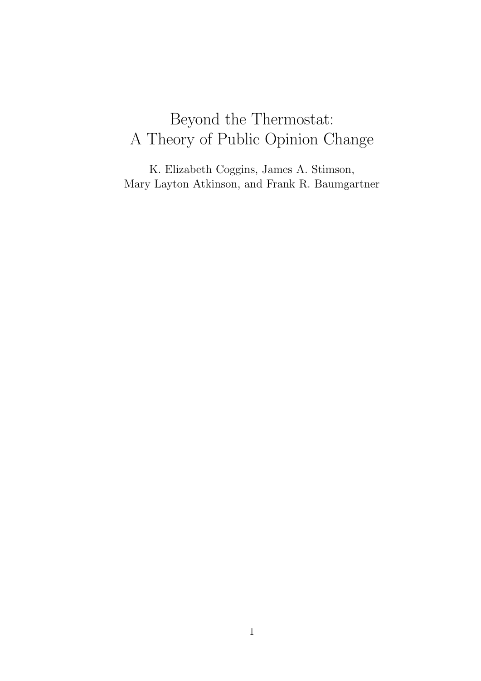# Beyond the Thermostat: A Theory of Public Opinion Change

K. Elizabeth Coggins, James A. Stimson, Mary Layton Atkinson, and Frank R. Baumgartner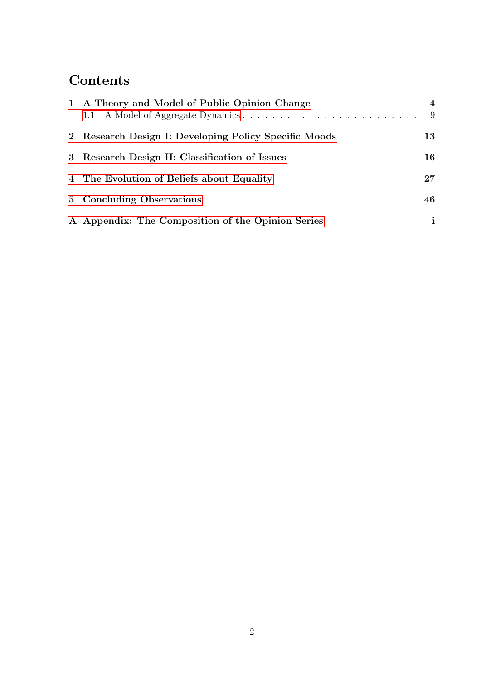## Contents

| 1 A Theory and Model of Public Opinion Change         | 4<br>-9 |
|-------------------------------------------------------|---------|
| 2 Research Design I: Developing Policy Specific Moods | 13      |
| 3 Research Design II: Classification of Issues        | 16      |
| 4 The Evolution of Beliefs about Equality             | 27      |
| 5 Concluding Observations                             | 46      |
| A Appendix: The Composition of the Opinion Series     | i.      |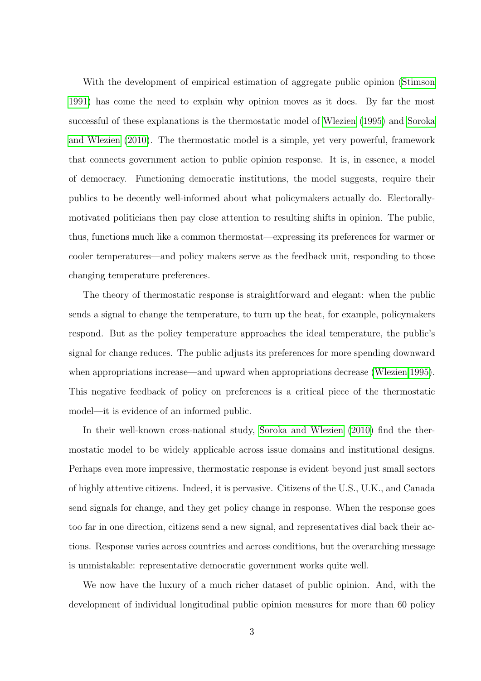With the development of empirical estimation of aggregate public opinion [\(Stimson](#page-57-0) [1991\)](#page-57-0) has come the need to explain why opinion moves as it does. By far the most successful of these explanations is the thermostatic model of [Wlezien](#page-57-1) [\(1995\)](#page-57-1) and [Soroka](#page-57-2) [and Wlezien](#page-57-2) [\(2010\)](#page-57-2). The thermostatic model is a simple, yet very powerful, framework that connects government action to public opinion response. It is, in essence, a model of democracy. Functioning democratic institutions, the model suggests, require their publics to be decently well-informed about what policymakers actually do. Electorallymotivated politicians then pay close attention to resulting shifts in opinion. The public, thus, functions much like a common thermostat—expressing its preferences for warmer or cooler temperatures—and policy makers serve as the feedback unit, responding to those changing temperature preferences.

The theory of thermostatic response is straightforward and elegant: when the public sends a signal to change the temperature, to turn up the heat, for example, policymakers respond. But as the policy temperature approaches the ideal temperature, the public's signal for change reduces. The public adjusts its preferences for more spending downward when appropriations increase—and upward when appropriations decrease [\(Wlezien 1995\)](#page-57-1). This negative feedback of policy on preferences is a critical piece of the thermostatic model—it is evidence of an informed public.

In their well-known cross-national study, [Soroka and Wlezien](#page-57-2) [\(2010\)](#page-57-2) find the thermostatic model to be widely applicable across issue domains and institutional designs. Perhaps even more impressive, thermostatic response is evident beyond just small sectors of highly attentive citizens. Indeed, it is pervasive. Citizens of the U.S., U.K., and Canada send signals for change, and they get policy change in response. When the response goes too far in one direction, citizens send a new signal, and representatives dial back their actions. Response varies across countries and across conditions, but the overarching message is unmistakable: representative democratic government works quite well.

We now have the luxury of a much richer dataset of public opinion. And, with the development of individual longitudinal public opinion measures for more than 60 policy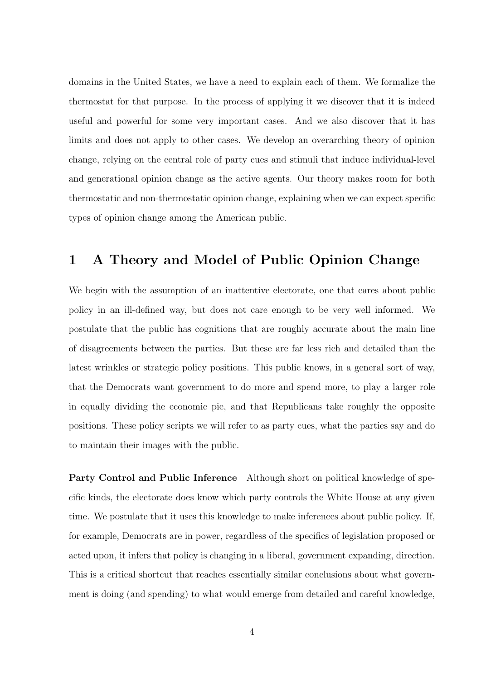domains in the United States, we have a need to explain each of them. We formalize the thermostat for that purpose. In the process of applying it we discover that it is indeed useful and powerful for some very important cases. And we also discover that it has limits and does not apply to other cases. We develop an overarching theory of opinion change, relying on the central role of party cues and stimuli that induce individual-level and generational opinion change as the active agents. Our theory makes room for both thermostatic and non-thermostatic opinion change, explaining when we can expect specific types of opinion change among the American public.

### <span id="page-3-0"></span>1 A Theory and Model of Public Opinion Change

We begin with the assumption of an inattentive electorate, one that cares about public policy in an ill-defined way, but does not care enough to be very well informed. We postulate that the public has cognitions that are roughly accurate about the main line of disagreements between the parties. But these are far less rich and detailed than the latest wrinkles or strategic policy positions. This public knows, in a general sort of way, that the Democrats want government to do more and spend more, to play a larger role in equally dividing the economic pie, and that Republicans take roughly the opposite positions. These policy scripts we will refer to as party cues, what the parties say and do to maintain their images with the public.

Party Control and Public Inference Although short on political knowledge of specific kinds, the electorate does know which party controls the White House at any given time. We postulate that it uses this knowledge to make inferences about public policy. If, for example, Democrats are in power, regardless of the specifics of legislation proposed or acted upon, it infers that policy is changing in a liberal, government expanding, direction. This is a critical shortcut that reaches essentially similar conclusions about what government is doing (and spending) to what would emerge from detailed and careful knowledge,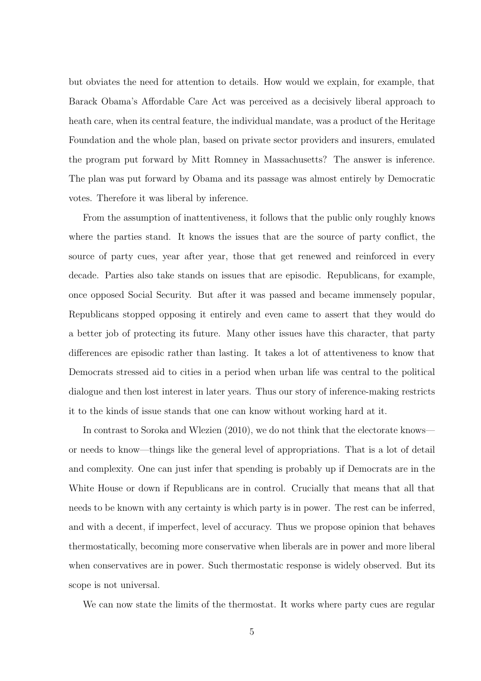but obviates the need for attention to details. How would we explain, for example, that Barack Obama's Affordable Care Act was perceived as a decisively liberal approach to heath care, when its central feature, the individual mandate, was a product of the Heritage Foundation and the whole plan, based on private sector providers and insurers, emulated the program put forward by Mitt Romney in Massachusetts? The answer is inference. The plan was put forward by Obama and its passage was almost entirely by Democratic votes. Therefore it was liberal by inference.

From the assumption of inattentiveness, it follows that the public only roughly knows where the parties stand. It knows the issues that are the source of party conflict, the source of party cues, year after year, those that get renewed and reinforced in every decade. Parties also take stands on issues that are episodic. Republicans, for example, once opposed Social Security. But after it was passed and became immensely popular, Republicans stopped opposing it entirely and even came to assert that they would do a better job of protecting its future. Many other issues have this character, that party differences are episodic rather than lasting. It takes a lot of attentiveness to know that Democrats stressed aid to cities in a period when urban life was central to the political dialogue and then lost interest in later years. Thus our story of inference-making restricts it to the kinds of issue stands that one can know without working hard at it.

In contrast to Soroka and Wlezien (2010), we do not think that the electorate knows or needs to know—things like the general level of appropriations. That is a lot of detail and complexity. One can just infer that spending is probably up if Democrats are in the White House or down if Republicans are in control. Crucially that means that all that needs to be known with any certainty is which party is in power. The rest can be inferred, and with a decent, if imperfect, level of accuracy. Thus we propose opinion that behaves thermostatically, becoming more conservative when liberals are in power and more liberal when conservatives are in power. Such thermostatic response is widely observed. But its scope is not universal.

We can now state the limits of the thermostat. It works where party cues are regular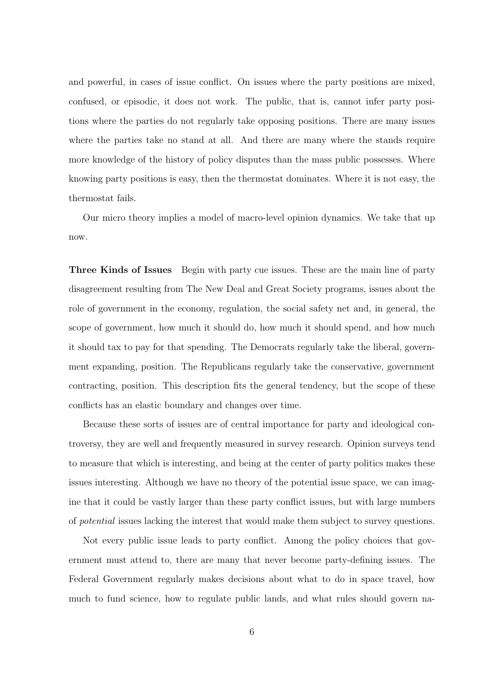and powerful, in cases of issue conflict. On issues where the party positions are mixed, confused, or episodic, it does not work. The public, that is, cannot infer party positions where the parties do not regularly take opposing positions. There are many issues where the parties take no stand at all. And there are many where the stands require more knowledge of the history of policy disputes than the mass public possesses. Where knowing party positions is easy, then the thermostat dominates. Where it is not easy, the thermostat fails.

Our micro theory implies a model of macro-level opinion dynamics. We take that up now.

Three Kinds of Issues Begin with party cue issues. These are the main line of party disagreement resulting from The New Deal and Great Society programs, issues about the role of government in the economy, regulation, the social safety net and, in general, the scope of government, how much it should do, how much it should spend, and how much it should tax to pay for that spending. The Democrats regularly take the liberal, government expanding, position. The Republicans regularly take the conservative, government contracting, position. This description fits the general tendency, but the scope of these conflicts has an elastic boundary and changes over time.

Because these sorts of issues are of central importance for party and ideological controversy, they are well and frequently measured in survey research. Opinion surveys tend to measure that which is interesting, and being at the center of party politics makes these issues interesting. Although we have no theory of the potential issue space, we can imagine that it could be vastly larger than these party conflict issues, but with large numbers of potential issues lacking the interest that would make them subject to survey questions.

Not every public issue leads to party conflict. Among the policy choices that government must attend to, there are many that never become party-defining issues. The Federal Government regularly makes decisions about what to do in space travel, how much to fund science, how to regulate public lands, and what rules should govern na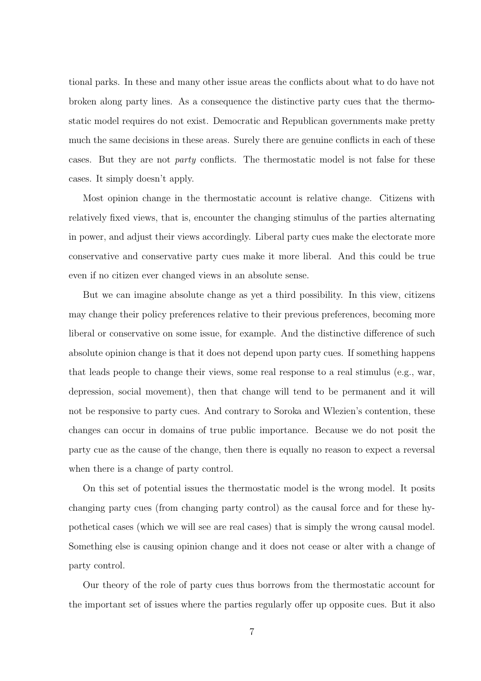tional parks. In these and many other issue areas the conflicts about what to do have not broken along party lines. As a consequence the distinctive party cues that the thermostatic model requires do not exist. Democratic and Republican governments make pretty much the same decisions in these areas. Surely there are genuine conflicts in each of these cases. But they are not *party* conflicts. The thermostatic model is not false for these cases. It simply doesn't apply.

Most opinion change in the thermostatic account is relative change. Citizens with relatively fixed views, that is, encounter the changing stimulus of the parties alternating in power, and adjust their views accordingly. Liberal party cues make the electorate more conservative and conservative party cues make it more liberal. And this could be true even if no citizen ever changed views in an absolute sense.

But we can imagine absolute change as yet a third possibility. In this view, citizens may change their policy preferences relative to their previous preferences, becoming more liberal or conservative on some issue, for example. And the distinctive difference of such absolute opinion change is that it does not depend upon party cues. If something happens that leads people to change their views, some real response to a real stimulus (e.g., war, depression, social movement), then that change will tend to be permanent and it will not be responsive to party cues. And contrary to Soroka and Wlezien's contention, these changes can occur in domains of true public importance. Because we do not posit the party cue as the cause of the change, then there is equally no reason to expect a reversal when there is a change of party control.

On this set of potential issues the thermostatic model is the wrong model. It posits changing party cues (from changing party control) as the causal force and for these hypothetical cases (which we will see are real cases) that is simply the wrong causal model. Something else is causing opinion change and it does not cease or alter with a change of party control.

Our theory of the role of party cues thus borrows from the thermostatic account for the important set of issues where the parties regularly offer up opposite cues. But it also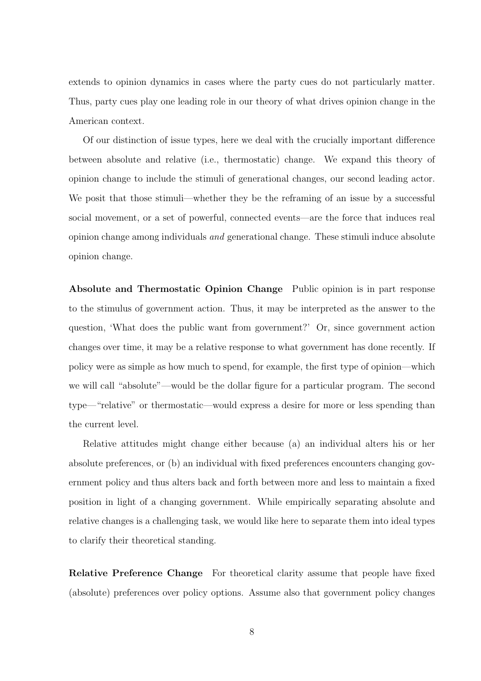extends to opinion dynamics in cases where the party cues do not particularly matter. Thus, party cues play one leading role in our theory of what drives opinion change in the American context.

Of our distinction of issue types, here we deal with the crucially important difference between absolute and relative (i.e., thermostatic) change. We expand this theory of opinion change to include the stimuli of generational changes, our second leading actor. We posit that those stimuli—whether they be the reframing of an issue by a successful social movement, or a set of powerful, connected events—are the force that induces real opinion change among individuals and generational change. These stimuli induce absolute opinion change.

Absolute and Thermostatic Opinion Change Public opinion is in part response to the stimulus of government action. Thus, it may be interpreted as the answer to the question, 'What does the public want from government?' Or, since government action changes over time, it may be a relative response to what government has done recently. If policy were as simple as how much to spend, for example, the first type of opinion—which we will call "absolute"—would be the dollar figure for a particular program. The second type—"relative" or thermostatic—would express a desire for more or less spending than the current level.

Relative attitudes might change either because (a) an individual alters his or her absolute preferences, or (b) an individual with fixed preferences encounters changing government policy and thus alters back and forth between more and less to maintain a fixed position in light of a changing government. While empirically separating absolute and relative changes is a challenging task, we would like here to separate them into ideal types to clarify their theoretical standing.

Relative Preference Change For theoretical clarity assume that people have fixed (absolute) preferences over policy options. Assume also that government policy changes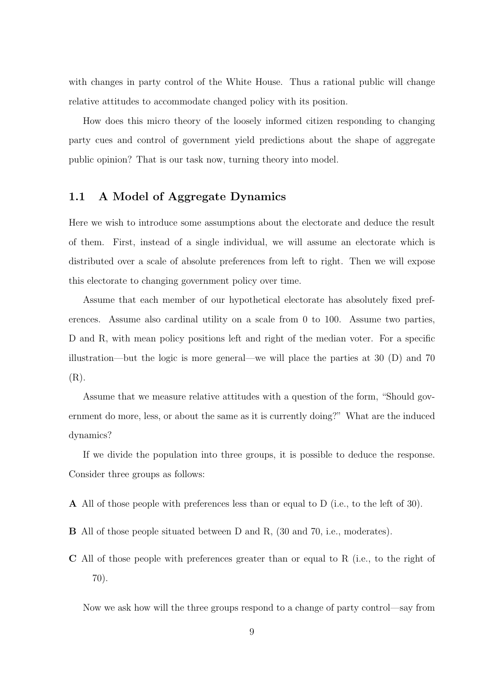with changes in party control of the White House. Thus a rational public will change relative attitudes to accommodate changed policy with its position.

How does this micro theory of the loosely informed citizen responding to changing party cues and control of government yield predictions about the shape of aggregate public opinion? That is our task now, turning theory into model.

#### <span id="page-8-0"></span>1.1 A Model of Aggregate Dynamics

Here we wish to introduce some assumptions about the electorate and deduce the result of them. First, instead of a single individual, we will assume an electorate which is distributed over a scale of absolute preferences from left to right. Then we will expose this electorate to changing government policy over time.

Assume that each member of our hypothetical electorate has absolutely fixed preferences. Assume also cardinal utility on a scale from 0 to 100. Assume two parties, D and R, with mean policy positions left and right of the median voter. For a specific illustration—but the logic is more general—we will place the parties at 30 (D) and 70 (R).

Assume that we measure relative attitudes with a question of the form, "Should government do more, less, or about the same as it is currently doing?" What are the induced dynamics?

If we divide the population into three groups, it is possible to deduce the response. Consider three groups as follows:

A All of those people with preferences less than or equal to D (i.e., to the left of 30).

- B All of those people situated between D and R, (30 and 70, i.e., moderates).
- C All of those people with preferences greater than or equal to R (i.e., to the right of 70).

Now we ask how will the three groups respond to a change of party control—say from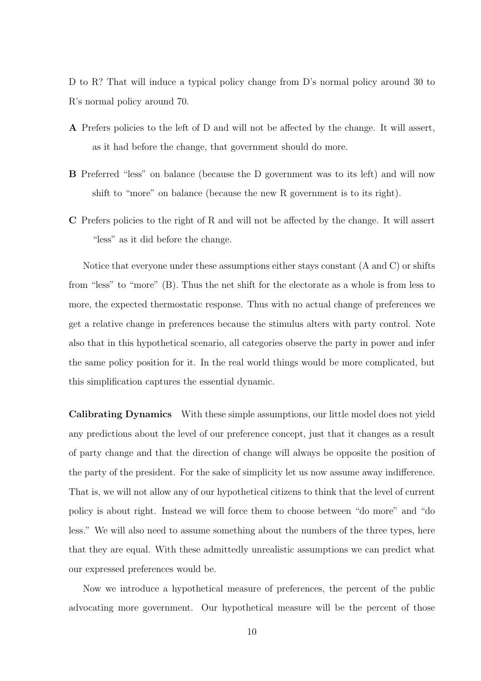D to R? That will induce a typical policy change from D's normal policy around 30 to R's normal policy around 70.

- A Prefers policies to the left of D and will not be affected by the change. It will assert, as it had before the change, that government should do more.
- B Preferred "less" on balance (because the D government was to its left) and will now shift to "more" on balance (because the new R government is to its right).
- C Prefers policies to the right of R and will not be affected by the change. It will assert "less" as it did before the change.

Notice that everyone under these assumptions either stays constant (A and C) or shifts from "less" to "more" (B). Thus the net shift for the electorate as a whole is from less to more, the expected thermostatic response. Thus with no actual change of preferences we get a relative change in preferences because the stimulus alters with party control. Note also that in this hypothetical scenario, all categories observe the party in power and infer the same policy position for it. In the real world things would be more complicated, but this simplification captures the essential dynamic.

Calibrating Dynamics With these simple assumptions, our little model does not yield any predictions about the level of our preference concept, just that it changes as a result of party change and that the direction of change will always be opposite the position of the party of the president. For the sake of simplicity let us now assume away indifference. That is, we will not allow any of our hypothetical citizens to think that the level of current policy is about right. Instead we will force them to choose between "do more" and "do less." We will also need to assume something about the numbers of the three types, here that they are equal. With these admittedly unrealistic assumptions we can predict what our expressed preferences would be.

Now we introduce a hypothetical measure of preferences, the percent of the public advocating more government. Our hypothetical measure will be the percent of those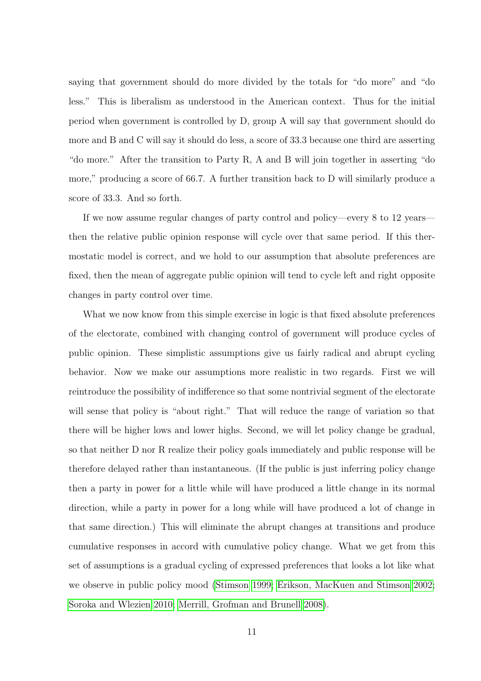saying that government should do more divided by the totals for "do more" and "do less." This is liberalism as understood in the American context. Thus for the initial period when government is controlled by D, group A will say that government should do more and B and C will say it should do less, a score of 33.3 because one third are asserting "do more." After the transition to Party R, A and B will join together in asserting "do more," producing a score of 66.7. A further transition back to D will similarly produce a score of 33.3. And so forth.

If we now assume regular changes of party control and policy—every 8 to 12 years then the relative public opinion response will cycle over that same period. If this thermostatic model is correct, and we hold to our assumption that absolute preferences are fixed, then the mean of aggregate public opinion will tend to cycle left and right opposite changes in party control over time.

What we now know from this simple exercise in logic is that fixed absolute preferences of the electorate, combined with changing control of government will produce cycles of public opinion. These simplistic assumptions give us fairly radical and abrupt cycling behavior. Now we make our assumptions more realistic in two regards. First we will reintroduce the possibility of indifference so that some nontrivial segment of the electorate will sense that policy is "about right." That will reduce the range of variation so that there will be higher lows and lower highs. Second, we will let policy change be gradual, so that neither D nor R realize their policy goals immediately and public response will be therefore delayed rather than instantaneous. (If the public is just inferring policy change then a party in power for a little while will have produced a little change in its normal direction, while a party in power for a long while will have produced a lot of change in that same direction.) This will eliminate the abrupt changes at transitions and produce cumulative responses in accord with cumulative policy change. What we get from this set of assumptions is a gradual cycling of expressed preferences that looks a lot like what we observe in public policy mood [\(Stimson 1999;](#page-57-3) [Erikson, MacKuen and Stimson 2002;](#page-56-0) [Soroka and Wlezien 2010;](#page-57-2) [Merrill, Grofman and Brunell 2008\)](#page-57-4).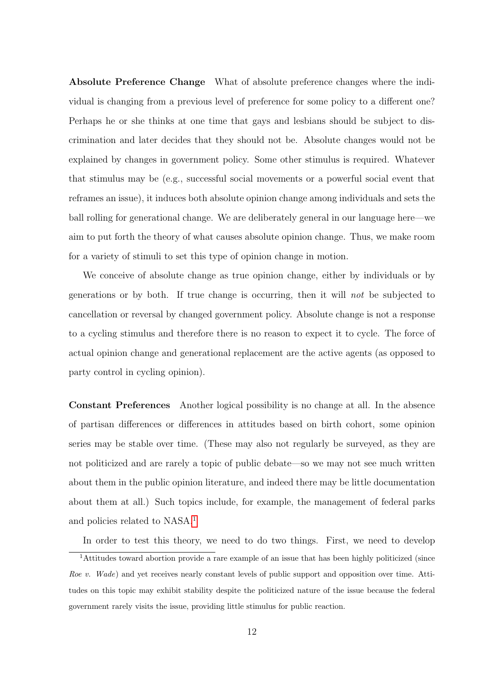Absolute Preference Change What of absolute preference changes where the individual is changing from a previous level of preference for some policy to a different one? Perhaps he or she thinks at one time that gays and lesbians should be subject to discrimination and later decides that they should not be. Absolute changes would not be explained by changes in government policy. Some other stimulus is required. Whatever that stimulus may be (e.g., successful social movements or a powerful social event that reframes an issue), it induces both absolute opinion change among individuals and sets the ball rolling for generational change. We are deliberately general in our language here—we aim to put forth the theory of what causes absolute opinion change. Thus, we make room for a variety of stimuli to set this type of opinion change in motion.

We conceive of absolute change as true opinion change, either by individuals or by generations or by both. If true change is occurring, then it will not be subjected to cancellation or reversal by changed government policy. Absolute change is not a response to a cycling stimulus and therefore there is no reason to expect it to cycle. The force of actual opinion change and generational replacement are the active agents (as opposed to party control in cycling opinion).

Constant Preferences Another logical possibility is no change at all. In the absence of partisan differences or differences in attitudes based on birth cohort, some opinion series may be stable over time. (These may also not regularly be surveyed, as they are not politicized and are rarely a topic of public debate—so we may not see much written about them in the public opinion literature, and indeed there may be little documentation about them at all.) Such topics include, for example, the management of federal parks and policies related to NASA.[1](#page-11-0)

<span id="page-11-0"></span>In order to test this theory, we need to do two things. First, we need to develop

<sup>&</sup>lt;sup>1</sup>Attitudes toward abortion provide a rare example of an issue that has been highly politicized (since Roe v. Wade) and yet receives nearly constant levels of public support and opposition over time. Attitudes on this topic may exhibit stability despite the politicized nature of the issue because the federal government rarely visits the issue, providing little stimulus for public reaction.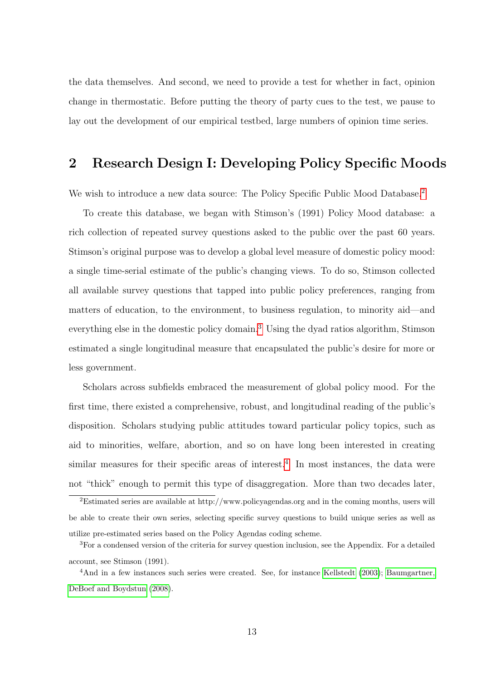the data themselves. And second, we need to provide a test for whether in fact, opinion change in thermostatic. Before putting the theory of party cues to the test, we pause to lay out the development of our empirical testbed, large numbers of opinion time series.

### <span id="page-12-0"></span>2 Research Design I: Developing Policy Specific Moods

We wish to introduce a new data source: The Policy Specific Public Mood Database.<sup>[2](#page-12-1)</sup>

To create this database, we began with Stimson's (1991) Policy Mood database: a rich collection of repeated survey questions asked to the public over the past 60 years. Stimson's original purpose was to develop a global level measure of domestic policy mood: a single time-serial estimate of the public's changing views. To do so, Stimson collected all available survey questions that tapped into public policy preferences, ranging from matters of education, to the environment, to business regulation, to minority aid—and everything else in the domestic policy domain.<sup>[3](#page-12-2)</sup> Using the dyad ratios algorithm, Stimson estimated a single longitudinal measure that encapsulated the public's desire for more or less government.

Scholars across subfields embraced the measurement of global policy mood. For the first time, there existed a comprehensive, robust, and longitudinal reading of the public's disposition. Scholars studying public attitudes toward particular policy topics, such as aid to minorities, welfare, abortion, and so on have long been interested in creating similar measures for their specific areas of interest.<sup>[4](#page-12-3)</sup> In most instances, the data were not "thick" enough to permit this type of disaggregation. More than two decades later,

<span id="page-12-1"></span><sup>2</sup>Estimated series are available at http://www.policyagendas.org and in the coming months, users will be able to create their own series, selecting specific survey questions to build unique series as well as utilize pre-estimated series based on the Policy Agendas coding scheme.

<span id="page-12-2"></span><sup>3</sup>For a condensed version of the criteria for survey question inclusion, see the Appendix. For a detailed account, see Stimson (1991).

<span id="page-12-3"></span><sup>&</sup>lt;sup>4</sup>And in a few instances such series were created. See, for instance [Kellstedt](#page-56-1) [\(2003\)](#page-56-1); [Baumgartner,](#page-56-2) [DeBoef and Boydstun](#page-56-2) [\(2008\)](#page-56-2).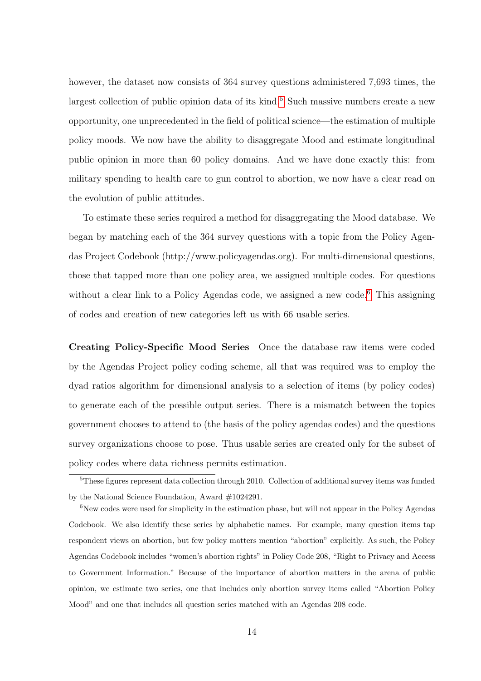however, the dataset now consists of 364 survey questions administered 7,693 times, the largest collection of public opinion data of its kind.<sup>[5](#page-13-0)</sup> Such massive numbers create a new opportunity, one unprecedented in the field of political science—the estimation of multiple policy moods. We now have the ability to disaggregate Mood and estimate longitudinal public opinion in more than 60 policy domains. And we have done exactly this: from military spending to health care to gun control to abortion, we now have a clear read on the evolution of public attitudes.

To estimate these series required a method for disaggregating the Mood database. We began by matching each of the 364 survey questions with a topic from the Policy Agendas Project Codebook (http://www.policyagendas.org). For multi-dimensional questions, those that tapped more than one policy area, we assigned multiple codes. For questions without a clear link to a Policy Agendas code, we assigned a new code.<sup>[6](#page-13-1)</sup> This assigning of codes and creation of new categories left us with 66 usable series.

Creating Policy-Specific Mood Series Once the database raw items were coded by the Agendas Project policy coding scheme, all that was required was to employ the dyad ratios algorithm for dimensional analysis to a selection of items (by policy codes) to generate each of the possible output series. There is a mismatch between the topics government chooses to attend to (the basis of the policy agendas codes) and the questions survey organizations choose to pose. Thus usable series are created only for the subset of policy codes where data richness permits estimation.

<span id="page-13-0"></span><sup>5</sup>These figures represent data collection through 2010. Collection of additional survey items was funded by the National Science Foundation, Award #1024291.

<span id="page-13-1"></span> $6$ New codes were used for simplicity in the estimation phase, but will not appear in the Policy Agendas Codebook. We also identify these series by alphabetic names. For example, many question items tap respondent views on abortion, but few policy matters mention "abortion" explicitly. As such, the Policy Agendas Codebook includes "women's abortion rights" in Policy Code 208, "Right to Privacy and Access to Government Information." Because of the importance of abortion matters in the arena of public opinion, we estimate two series, one that includes only abortion survey items called "Abortion Policy Mood" and one that includes all question series matched with an Agendas 208 code.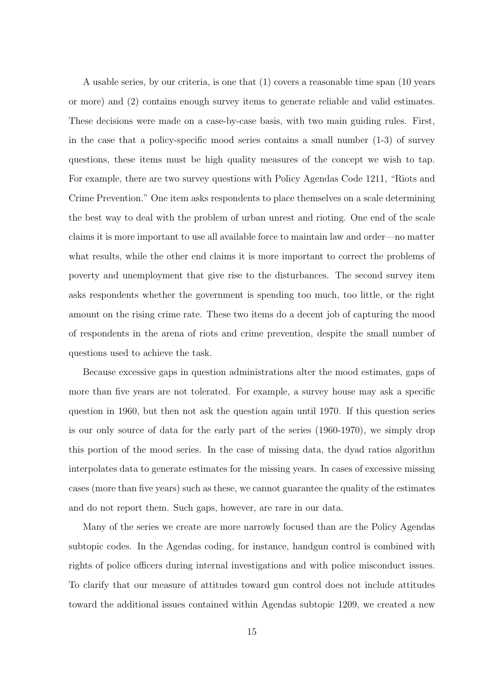A usable series, by our criteria, is one that (1) covers a reasonable time span (10 years or more) and (2) contains enough survey items to generate reliable and valid estimates. These decisions were made on a case-by-case basis, with two main guiding rules. First, in the case that a policy-specific mood series contains a small number (1-3) of survey questions, these items must be high quality measures of the concept we wish to tap. For example, there are two survey questions with Policy Agendas Code 1211, "Riots and Crime Prevention." One item asks respondents to place themselves on a scale determining the best way to deal with the problem of urban unrest and rioting. One end of the scale claims it is more important to use all available force to maintain law and order—no matter what results, while the other end claims it is more important to correct the problems of poverty and unemployment that give rise to the disturbances. The second survey item asks respondents whether the government is spending too much, too little, or the right amount on the rising crime rate. These two items do a decent job of capturing the mood of respondents in the arena of riots and crime prevention, despite the small number of questions used to achieve the task.

Because excessive gaps in question administrations alter the mood estimates, gaps of more than five years are not tolerated. For example, a survey house may ask a specific question in 1960, but then not ask the question again until 1970. If this question series is our only source of data for the early part of the series (1960-1970), we simply drop this portion of the mood series. In the case of missing data, the dyad ratios algorithm interpolates data to generate estimates for the missing years. In cases of excessive missing cases (more than five years) such as these, we cannot guarantee the quality of the estimates and do not report them. Such gaps, however, are rare in our data.

Many of the series we create are more narrowly focused than are the Policy Agendas subtopic codes. In the Agendas coding, for instance, handgun control is combined with rights of police officers during internal investigations and with police misconduct issues. To clarify that our measure of attitudes toward gun control does not include attitudes toward the additional issues contained within Agendas subtopic 1209, we created a new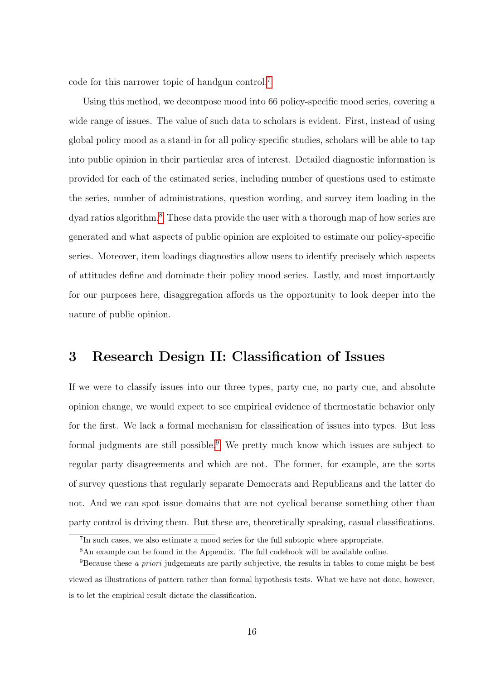code for this narrower topic of handgun control.[7](#page-15-1)

Using this method, we decompose mood into 66 policy-specific mood series, covering a wide range of issues. The value of such data to scholars is evident. First, instead of using global policy mood as a stand-in for all policy-specific studies, scholars will be able to tap into public opinion in their particular area of interest. Detailed diagnostic information is provided for each of the estimated series, including number of questions used to estimate the series, number of administrations, question wording, and survey item loading in the dyad ratios algorithm.[8](#page-15-2) These data provide the user with a thorough map of how series are generated and what aspects of public opinion are exploited to estimate our policy-specific series. Moreover, item loadings diagnostics allow users to identify precisely which aspects of attitudes define and dominate their policy mood series. Lastly, and most importantly for our purposes here, disaggregation affords us the opportunity to look deeper into the nature of public opinion.

### <span id="page-15-0"></span>3 Research Design II: Classification of Issues

If we were to classify issues into our three types, party cue, no party cue, and absolute opinion change, we would expect to see empirical evidence of thermostatic behavior only for the first. We lack a formal mechanism for classification of issues into types. But less formal judgments are still possible.<sup>[9](#page-15-3)</sup> We pretty much know which issues are subject to regular party disagreements and which are not. The former, for example, are the sorts of survey questions that regularly separate Democrats and Republicans and the latter do not. And we can spot issue domains that are not cyclical because something other than party control is driving them. But these are, theoretically speaking, casual classifications.

<span id="page-15-1"></span><sup>&</sup>lt;sup>7</sup>In such cases, we also estimate a mood series for the full subtopic where appropriate.

<span id="page-15-3"></span><span id="page-15-2"></span><sup>8</sup>An example can be found in the Appendix. The full codebook will be available online.

<sup>9</sup>Because these a priori judgements are partly subjective, the results in tables to come might be best viewed as illustrations of pattern rather than formal hypothesis tests. What we have not done, however, is to let the empirical result dictate the classification.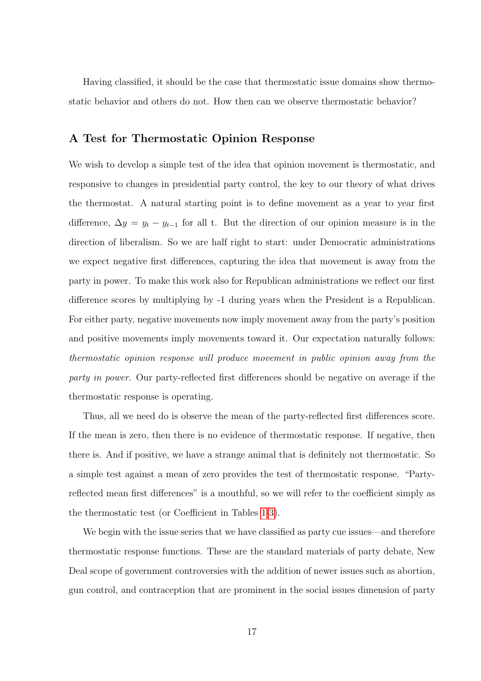Having classified, it should be the case that thermostatic issue domains show thermostatic behavior and others do not. How then can we observe thermostatic behavior?

#### A Test for Thermostatic Opinion Response

We wish to develop a simple test of the idea that opinion movement is thermostatic, and responsive to changes in presidential party control, the key to our theory of what drives the thermostat. A natural starting point is to define movement as a year to year first difference,  $\Delta y = y_t - y_{t-1}$  for all t. But the direction of our opinion measure is in the direction of liberalism. So we are half right to start: under Democratic administrations we expect negative first differences, capturing the idea that movement is away from the party in power. To make this work also for Republican administrations we reflect our first difference scores by multiplying by -1 during years when the President is a Republican. For either party, negative movements now imply movement away from the party's position and positive movements imply movements toward it. Our expectation naturally follows: thermostatic opinion response will produce movement in public opinion away from the party in power. Our party-reflected first differences should be negative on average if the thermostatic response is operating.

Thus, all we need do is observe the mean of the party-reflected first differences score. If the mean is zero, then there is no evidence of thermostatic response. If negative, then there is. And if positive, we have a strange animal that is definitely not thermostatic. So a simple test against a mean of zero provides the test of thermostatic response. "Partyreflected mean first differences" is a mouthful, so we will refer to the coefficient simply as the thermostatic test (or Coefficient in Tables [1](#page-18-0)[-3\)](#page-23-0).

We begin with the issue series that we have classified as party cue issues—and therefore thermostatic response functions. These are the standard materials of party debate, New Deal scope of government controversies with the addition of newer issues such as abortion, gun control, and contraception that are prominent in the social issues dimension of party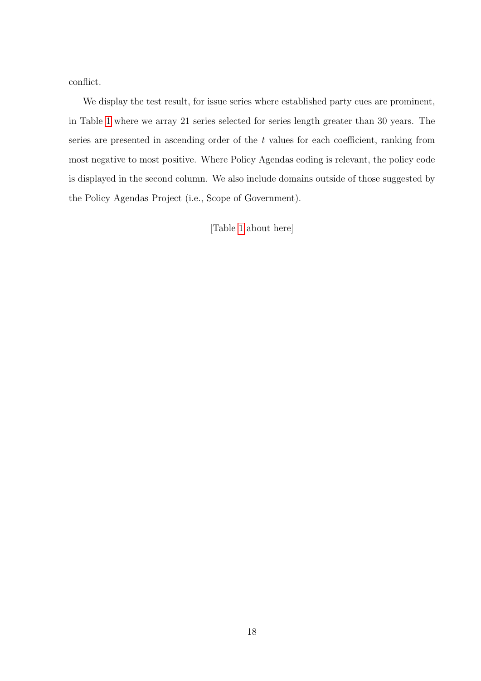conflict.

We display the test result, for issue series where established party cues are prominent, in Table [1](#page-18-0) where we array 21 series selected for series length greater than 30 years. The series are presented in ascending order of the t values for each coefficient, ranking from most negative to most positive. Where Policy Agendas coding is relevant, the policy code is displayed in the second column. We also include domains outside of those suggested by the Policy Agendas Project (i.e., Scope of Government).

[Table [1](#page-18-0) about here]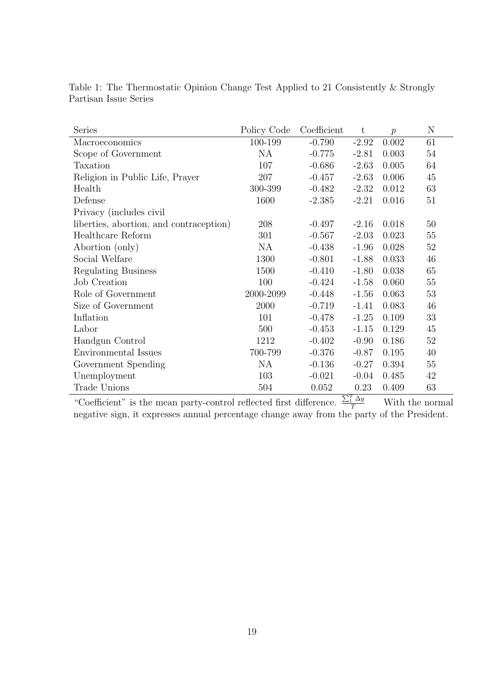| Series                                  | Policy Code | Coefficient | $t\,$   | $\boldsymbol{p}$ | N      |
|-----------------------------------------|-------------|-------------|---------|------------------|--------|
| Macroeconomics                          | 100-199     | $-0.790$    | $-2.92$ | 0.002            | 61     |
| Scope of Government                     | NA          | $-0.775$    | $-2.81$ | 0.003            | 54     |
| Taxation                                | 107         | $-0.686$    | $-2.63$ | 0.005            | 64     |
| Religion in Public Life, Prayer         | 207         | $-0.457$    | $-2.63$ | 0.006            | 45     |
| Health                                  | 300-399     | $-0.482$    | $-2.32$ | 0.012            | 63     |
| Defense                                 | 1600        | $-2.385$    | $-2.21$ | 0.016            | $51\,$ |
| Privacy (includes civil                 |             |             |         |                  |        |
| liberties, abortion, and contraception) | 208         | $-0.497$    | $-2.16$ | 0.018            | 50     |
| Healthcare Reform                       | 301         | $-0.567$    | $-2.03$ | 0.023            | 55     |
| Abortion (only)                         | <b>NA</b>   | $-0.438$    | $-1.96$ | 0.028            | $52\,$ |
| Social Welfare                          | 1300        | $-0.801$    | $-1.88$ | 0.033            | 46     |
| <b>Regulating Business</b>              | 1500        | $-0.410$    | $-1.80$ | 0.038            | 65     |
| Job Creation                            | 100         | $-0.424$    | $-1.58$ | 0.060            | $55\,$ |
| Role of Government                      | 2000-2099   | $-0.448$    | $-1.56$ | 0.063            | 53     |
| Size of Government                      | 2000        | $-0.719$    | $-1.41$ | 0.083            | 46     |
| Inflation                               | 101         | $-0.478$    | $-1.25$ | 0.109            | 33     |
| Labor                                   | 500         | $-0.453$    | $-1.15$ | 0.129            | 45     |
| Handgun Control                         | 1212        | $-0.402$    | $-0.90$ | 0.186            | $52\,$ |
| Environmental Issues                    | 700-799     | $-0.376$    | $-0.87$ | 0.195            | 40     |
| Government Spending                     | <b>NA</b>   | $-0.136$    | $-0.27$ | 0.394            | 55     |
| Unemployment                            | 103         | $-0.021$    | $-0.04$ | 0.485            | 42     |
| Trade Unions                            | 504         | 0.052       | 0.23    | 0.409            | 63     |

<span id="page-18-0"></span>Table 1: The Thermostatic Opinion Change Test Applied to 21 Consistently & Strongly Partisan Issue Series

"Coefficient" is the mean party-control reflected first difference.  $\frac{\sum_{i=1}^{T} \Delta y}{T}$  With the normal negative sign, it expresses annual percentage change away from the party of the President.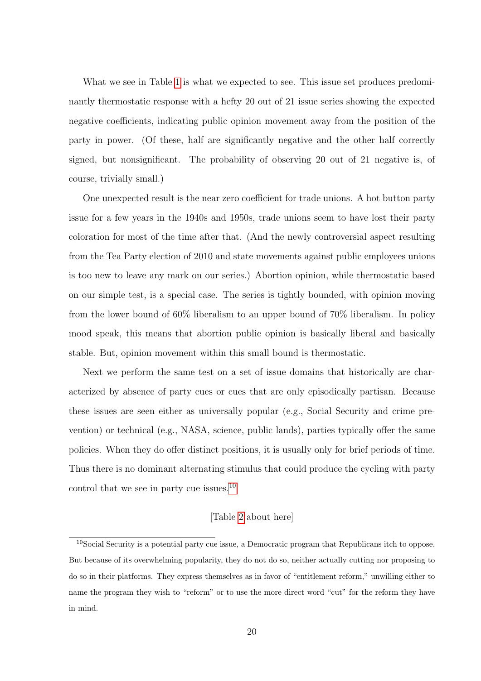What we see in Table [1](#page-18-0) is what we expected to see. This issue set produces predominantly thermostatic response with a hefty 20 out of 21 issue series showing the expected negative coefficients, indicating public opinion movement away from the position of the party in power. (Of these, half are significantly negative and the other half correctly signed, but nonsignificant. The probability of observing 20 out of 21 negative is, of course, trivially small.)

One unexpected result is the near zero coefficient for trade unions. A hot button party issue for a few years in the 1940s and 1950s, trade unions seem to have lost their party coloration for most of the time after that. (And the newly controversial aspect resulting from the Tea Party election of 2010 and state movements against public employees unions is too new to leave any mark on our series.) Abortion opinion, while thermostatic based on our simple test, is a special case. The series is tightly bounded, with opinion moving from the lower bound of 60% liberalism to an upper bound of 70% liberalism. In policy mood speak, this means that abortion public opinion is basically liberal and basically stable. But, opinion movement within this small bound is thermostatic.

Next we perform the same test on a set of issue domains that historically are characterized by absence of party cues or cues that are only episodically partisan. Because these issues are seen either as universally popular (e.g., Social Security and crime prevention) or technical (e.g., NASA, science, public lands), parties typically offer the same policies. When they do offer distinct positions, it is usually only for brief periods of time. Thus there is no dominant alternating stimulus that could produce the cycling with party control that we see in party cue issues.<sup>[10](#page-19-0)</sup>

#### [Table [2](#page-20-0) about here]

<span id="page-19-0"></span><sup>10</sup>Social Security is a potential party cue issue, a Democratic program that Republicans itch to oppose. But because of its overwhelming popularity, they do not do so, neither actually cutting nor proposing to do so in their platforms. They express themselves as in favor of "entitlement reform," unwilling either to name the program they wish to "reform" or to use the more direct word "cut" for the reform they have in mind.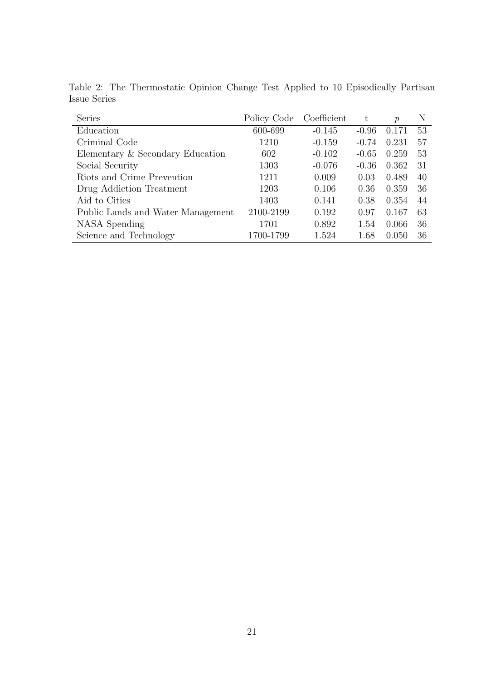| <b>Series</b>                     | Policy Code | Coefficient | t       | $\mathcal{p}$ | N   |
|-----------------------------------|-------------|-------------|---------|---------------|-----|
| Education                         | 600-699     | $-0.145$    | $-0.96$ | 0.171         | 53  |
| Criminal Code                     | 1210        | $-0.159$    | $-0.74$ | 0.231         | 57  |
| Elementary & Secondary Education  | 602         | $-0.102$    | $-0.65$ | 0.259         | 53  |
| Social Security                   | 1303        | $-0.076$    | $-0.36$ | 0.362         | -31 |
| Riots and Crime Prevention        | 1211        | 0.009       | 0.03    | 0.489         | 40  |
| Drug Addiction Treatment          | 1203        | 0.106       | 0.36    | 0.359         | -36 |
| Aid to Cities                     | 1403        | 0.141       | 0.38    | 0.354         | 44  |
| Public Lands and Water Management | 2100-2199   | 0.192       | 0.97    | 0.167         | 63  |
| NASA Spending                     | 1701        | 0.892       | 1.54    | 0.066         | 36  |
| Science and Technology            | 1700-1799   | 1.524       | 1.68    | 0.050         | 36  |

<span id="page-20-0"></span>Table 2: The Thermostatic Opinion Change Test Applied to 10 Episodically Partisan Issue Series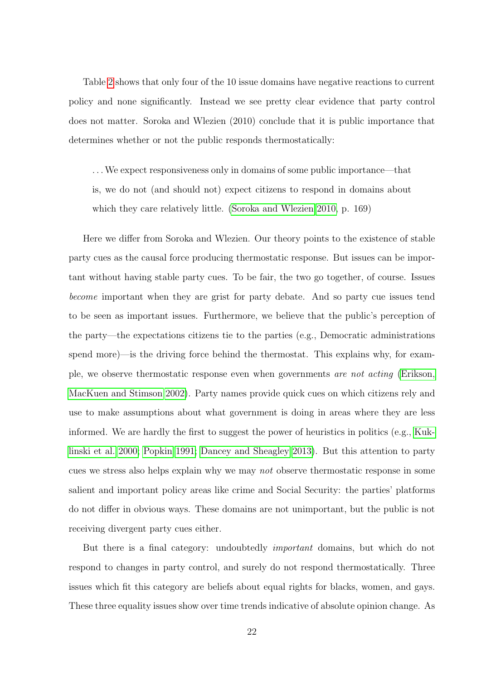Table [2](#page-20-0) shows that only four of the 10 issue domains have negative reactions to current policy and none significantly. Instead we see pretty clear evidence that party control does not matter. Soroka and Wlezien (2010) conclude that it is public importance that determines whether or not the public responds thermostatically:

. . .We expect responsiveness only in domains of some public importance—that is, we do not (and should not) expect citizens to respond in domains about which they care relatively little. [\(Soroka and Wlezien 2010,](#page-57-2) p. 169)

Here we differ from Soroka and Wlezien. Our theory points to the existence of stable party cues as the causal force producing thermostatic response. But issues can be important without having stable party cues. To be fair, the two go together, of course. Issues become important when they are grist for party debate. And so party cue issues tend to be seen as important issues. Furthermore, we believe that the public's perception of the party—the expectations citizens tie to the parties (e.g., Democratic administrations spend more)—is the driving force behind the thermostat. This explains why, for example, we observe thermostatic response even when governments are not acting [\(Erikson,](#page-56-0) [MacKuen and Stimson 2002\)](#page-56-0). Party names provide quick cues on which citizens rely and use to make assumptions about what government is doing in areas where they are less informed. We are hardly the first to suggest the power of heuristics in politics (e.g., [Kuk](#page-56-3)[linski et al. 2000;](#page-56-3) [Popkin 1991;](#page-57-5) [Dancey and Sheagley 2013\)](#page-56-4). But this attention to party cues we stress also helps explain why we may not observe thermostatic response in some salient and important policy areas like crime and Social Security: the parties' platforms do not differ in obvious ways. These domains are not unimportant, but the public is not receiving divergent party cues either.

But there is a final category: undoubtedly important domains, but which do not respond to changes in party control, and surely do not respond thermostatically. Three issues which fit this category are beliefs about equal rights for blacks, women, and gays. These three equality issues show over time trends indicative of absolute opinion change. As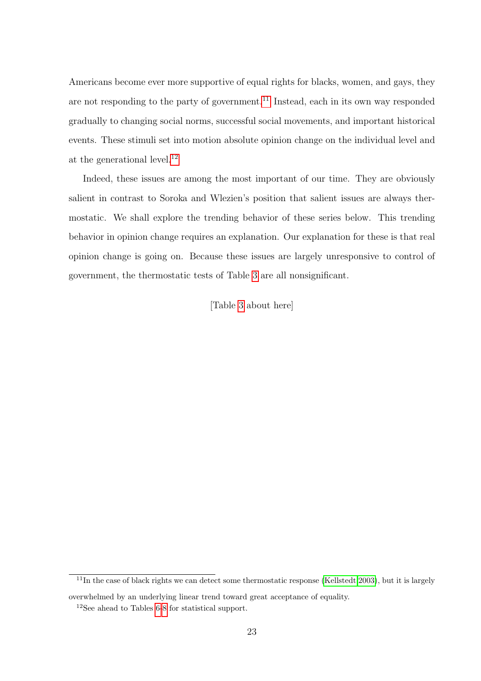Americans become ever more supportive of equal rights for blacks, women, and gays, they are not responding to the party of government.<sup>[11](#page-22-0)</sup> Instead, each in its own way responded gradually to changing social norms, successful social movements, and important historical events. These stimuli set into motion absolute opinion change on the individual level and at the generational level.<sup>[12](#page-22-1)</sup>

Indeed, these issues are among the most important of our time. They are obviously salient in contrast to Soroka and Wlezien's position that salient issues are always thermostatic. We shall explore the trending behavior of these series below. This trending behavior in opinion change requires an explanation. Our explanation for these is that real opinion change is going on. Because these issues are largely unresponsive to control of government, the thermostatic tests of Table [3](#page-23-0) are all nonsignificant.

[Table [3](#page-23-0) about here]

<span id="page-22-0"></span> $11$ In the case of black rights we can detect some thermostatic response [\(Kellstedt 2003\)](#page-56-1), but it is largely

overwhelmed by an underlying linear trend toward great acceptance of equality.

<span id="page-22-1"></span><sup>12</sup>See ahead to Tables [6](#page-40-0)[-8](#page-44-0) for statistical support.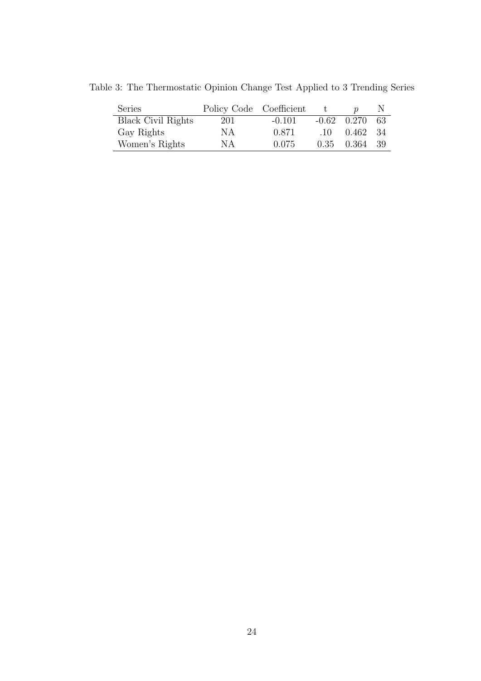<span id="page-23-0"></span>

| Series                    | Policy Code Coefficient |          |          |                    |  |
|---------------------------|-------------------------|----------|----------|--------------------|--|
| <b>Black Civil Rights</b> | 201                     | $-0.101$ |          | $-0.62$ $0.270$ 63 |  |
| Gay Rights                | NА                      | 0.871    | $\pm 10$ | 0.462 34           |  |
| Women's Rights            | NА                      | 0.075    |          | $0.35$ $0.364$ 39  |  |
|                           |                         |          |          |                    |  |

Table 3: The Thermostatic Opinion Change Test Applied to 3 Trending Series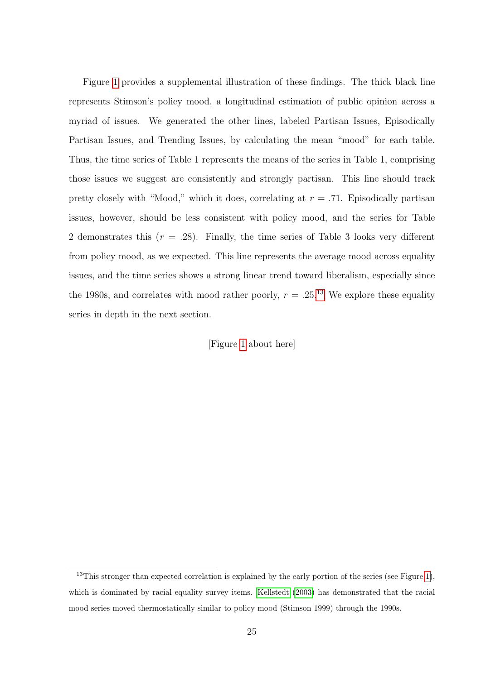Figure [1](#page-25-0) provides a supplemental illustration of these findings. The thick black line represents Stimson's policy mood, a longitudinal estimation of public opinion across a myriad of issues. We generated the other lines, labeled Partisan Issues, Episodically Partisan Issues, and Trending Issues, by calculating the mean "mood" for each table. Thus, the time series of Table 1 represents the means of the series in Table 1, comprising those issues we suggest are consistently and strongly partisan. This line should track pretty closely with "Mood," which it does, correlating at  $r = .71$ . Episodically partisan issues, however, should be less consistent with policy mood, and the series for Table 2 demonstrates this  $(r = .28)$ . Finally, the time series of Table 3 looks very different from policy mood, as we expected. This line represents the average mood across equality issues, and the time series shows a strong linear trend toward liberalism, especially since the 1980s, and correlates with mood rather poorly,  $r = .25$ .<sup>[13](#page-24-0)</sup> We explore these equality series in depth in the next section.

[Figure [1](#page-25-0) about here]

<span id="page-24-0"></span> $13$ This stronger than expected correlation is explained by the early portion of the series (see Figure [1\)](#page-25-0), which is dominated by racial equality survey items. [Kellstedt](#page-56-1) [\(2003\)](#page-56-1) has demonstrated that the racial mood series moved thermostatically similar to policy mood (Stimson 1999) through the 1990s.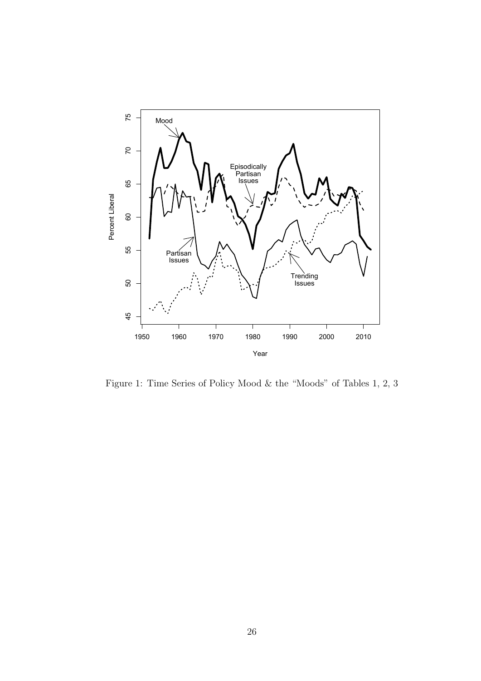

<span id="page-25-0"></span>Figure 1: Time Series of Policy Mood & the "Moods" of Tables 1, 2, 3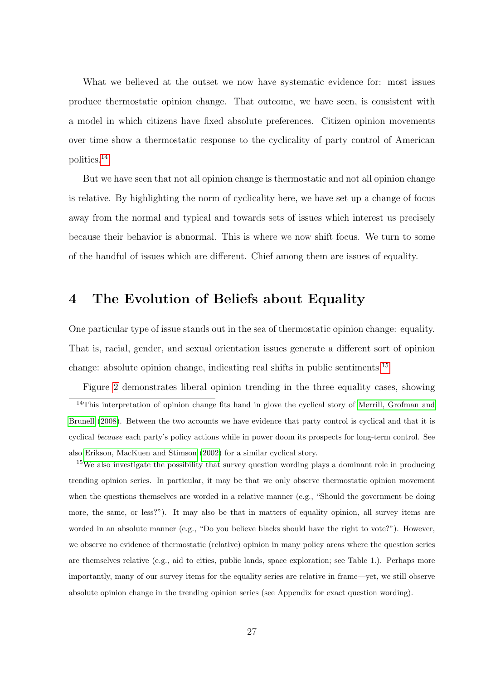What we believed at the outset we now have systematic evidence for: most issues produce thermostatic opinion change. That outcome, we have seen, is consistent with a model in which citizens have fixed absolute preferences. Citizen opinion movements over time show a thermostatic response to the cyclicality of party control of American politics.[14](#page-26-1)

But we have seen that not all opinion change is thermostatic and not all opinion change is relative. By highlighting the norm of cyclicality here, we have set up a change of focus away from the normal and typical and towards sets of issues which interest us precisely because their behavior is abnormal. This is where we now shift focus. We turn to some of the handful of issues which are different. Chief among them are issues of equality.

### <span id="page-26-0"></span>4 The Evolution of Beliefs about Equality

One particular type of issue stands out in the sea of thermostatic opinion change: equality. That is, racial, gender, and sexual orientation issues generate a different sort of opinion change: absolute opinion change, indicating real shifts in public sentiments.<sup>[15](#page-26-2)</sup>

<span id="page-26-1"></span>Figure [2](#page-30-0) demonstrates liberal opinion trending in the three equality cases, showing <sup>14</sup>This interpretation of opinion change fits hand in glove the cyclical story of [Merrill, Grofman and](#page-57-4) [Brunell](#page-57-4) [\(2008\)](#page-57-4). Between the two accounts we have evidence that party control is cyclical and that it is cyclical because each party's policy actions while in power doom its prospects for long-term control. See also [Erikson, MacKuen and Stimson](#page-56-0) [\(2002\)](#page-56-0) for a similar cyclical story.

<span id="page-26-2"></span><sup>&</sup>lt;sup>15</sup>We also investigate the possibility that survey question wording plays a dominant role in producing trending opinion series. In particular, it may be that we only observe thermostatic opinion movement when the questions themselves are worded in a relative manner (e.g., "Should the government be doing more, the same, or less?"). It may also be that in matters of equality opinion, all survey items are worded in an absolute manner (e.g., "Do you believe blacks should have the right to vote?"). However, we observe no evidence of thermostatic (relative) opinion in many policy areas where the question series are themselves relative (e.g., aid to cities, public lands, space exploration; see Table 1.). Perhaps more importantly, many of our survey items for the equality series are relative in frame—yet, we still observe absolute opinion change in the trending opinion series (see Appendix for exact question wording).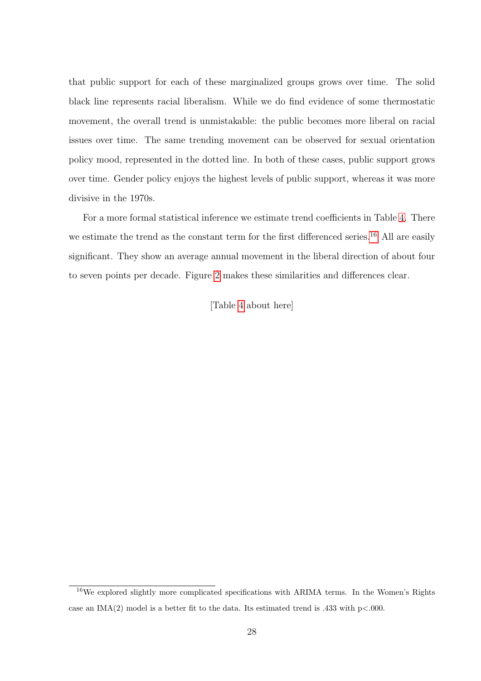that public support for each of these marginalized groups grows over time. The solid black line represents racial liberalism. While we do find evidence of some thermostatic movement, the overall trend is unmistakable: the public becomes more liberal on racial issues over time. The same trending movement can be observed for sexual orientation policy mood, represented in the dotted line. In both of these cases, public support grows over time. Gender policy enjoys the highest levels of public support, whereas it was more divisive in the 1970s.

For a more formal statistical inference we estimate trend coefficients in Table [4.](#page-28-0) There we estimate the trend as the constant term for the first differenced series.<sup>[16](#page-27-0)</sup> All are easily significant. They show an average annual movement in the liberal direction of about four to seven points per decade. Figure [2](#page-30-0) makes these similarities and differences clear.

[Table [4](#page-28-0) about here]

<span id="page-27-0"></span> $16$ We explored slightly more complicated specifications with ARIMA terms. In the Women's Rights case an IMA(2) model is a better fit to the data. Its estimated trend is .433 with  $p<.000$ .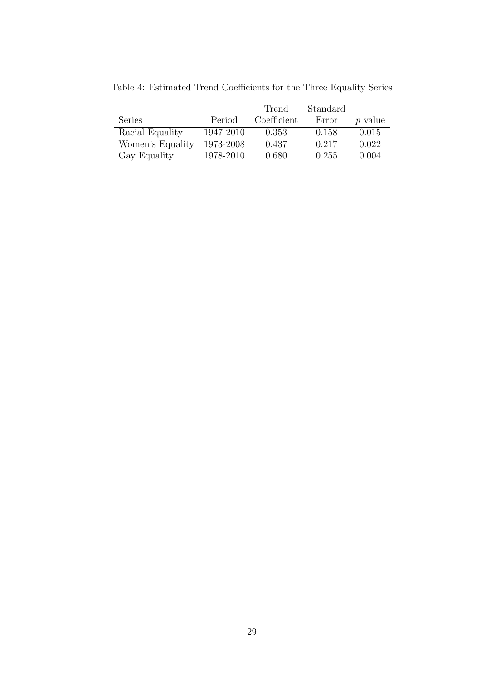|                  |           | Trend       | Standard |                |
|------------------|-----------|-------------|----------|----------------|
| <b>Series</b>    | Period    | Coefficient | Error    | <i>p</i> value |
| Racial Equality  | 1947-2010 | 0.353       | 0.158    | 0.015          |
| Women's Equality | 1973-2008 | 0.437       | 0.217    | 0.022          |
| Gay Equality     | 1978-2010 | 0.680       | 0.255    | 0.004          |
|                  |           |             |          |                |

<span id="page-28-0"></span>Table 4: Estimated Trend Coefficients for the Three Equality Series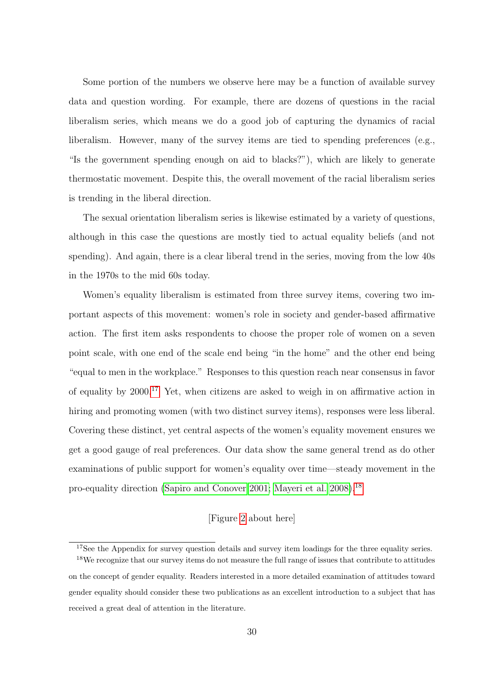Some portion of the numbers we observe here may be a function of available survey data and question wording. For example, there are dozens of questions in the racial liberalism series, which means we do a good job of capturing the dynamics of racial liberalism. However, many of the survey items are tied to spending preferences (e.g., "Is the government spending enough on aid to blacks?"), which are likely to generate thermostatic movement. Despite this, the overall movement of the racial liberalism series is trending in the liberal direction.

The sexual orientation liberalism series is likewise estimated by a variety of questions, although in this case the questions are mostly tied to actual equality beliefs (and not spending). And again, there is a clear liberal trend in the series, moving from the low 40s in the 1970s to the mid 60s today.

Women's equality liberalism is estimated from three survey items, covering two important aspects of this movement: women's role in society and gender-based affirmative action. The first item asks respondents to choose the proper role of women on a seven point scale, with one end of the scale end being "in the home" and the other end being "equal to men in the workplace." Responses to this question reach near consensus in favor of equality by  $2000^{17}$  $2000^{17}$  $2000^{17}$  Yet, when citizens are asked to weigh in on affirmative action in hiring and promoting women (with two distinct survey items), responses were less liberal. Covering these distinct, yet central aspects of the women's equality movement ensures we get a good gauge of real preferences. Our data show the same general trend as do other examinations of public support for women's equality over time—steady movement in the pro-equality direction [\(Sapiro and Conover 2001;](#page-57-6) [Mayeri et al. 2008\)](#page-57-7).[18](#page-29-1)

#### [Figure [2](#page-30-0) about here]

<span id="page-29-1"></span><span id="page-29-0"></span><sup>&</sup>lt;sup>17</sup>See the Appendix for survey question details and survey item loadings for the three equality series.

<sup>&</sup>lt;sup>18</sup>We recognize that our survey items do not measure the full range of issues that contribute to attitudes on the concept of gender equality. Readers interested in a more detailed examination of attitudes toward gender equality should consider these two publications as an excellent introduction to a subject that has received a great deal of attention in the literature.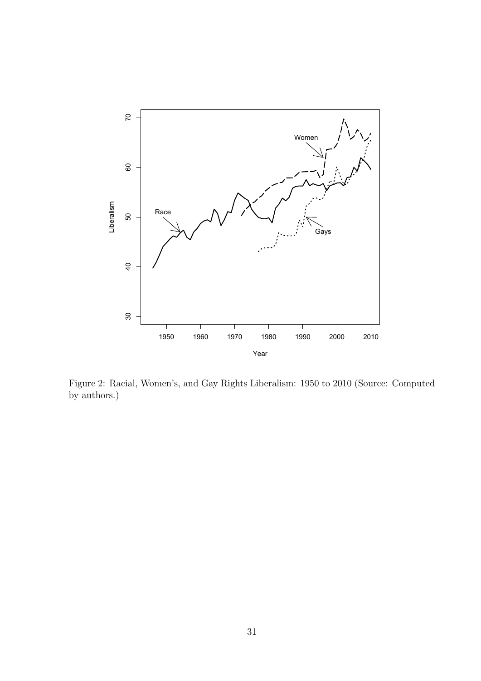

<span id="page-30-0"></span>Figure 2: Racial, Women's, and Gay Rights Liberalism: 1950 to 2010 (Source: Computed by authors.)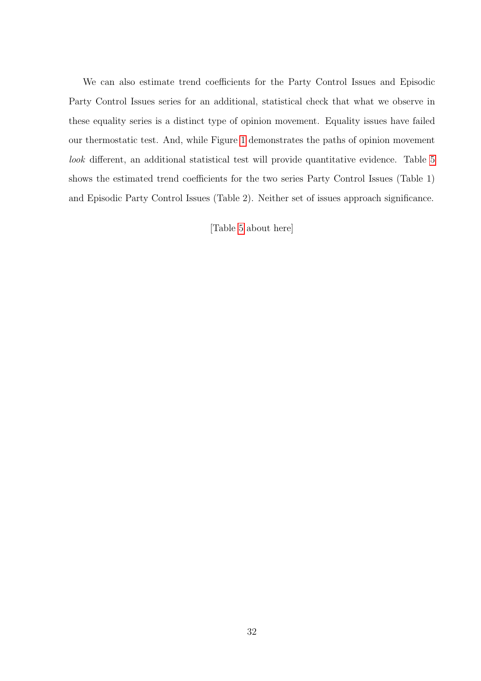We can also estimate trend coefficients for the Party Control Issues and Episodic Party Control Issues series for an additional, statistical check that what we observe in these equality series is a distinct type of opinion movement. Equality issues have failed our thermostatic test. And, while Figure [1](#page-25-0) demonstrates the paths of opinion movement look different, an additional statistical test will provide quantitative evidence. Table [5](#page-32-0) shows the estimated trend coefficients for the two series Party Control Issues (Table 1) and Episodic Party Control Issues (Table 2). Neither set of issues approach significance.

[Table [5](#page-32-0) about here]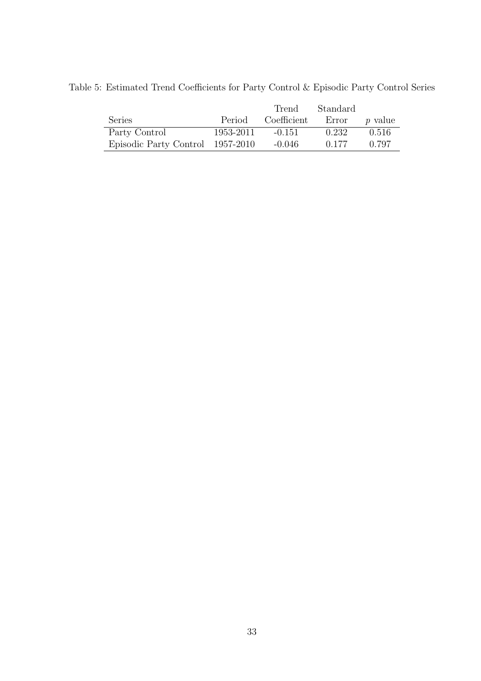<span id="page-32-0"></span>

|                                  |           | Trend       | Standard |         |
|----------------------------------|-----------|-------------|----------|---------|
| Series                           | Period    | Coefficient | Error    | p value |
| Party Control                    | 1953-2011 | $-0.151$    | 0.232    | 0.516   |
| Episodic Party Control 1957-2010 |           | $-0.046$    | 0.177    | 0.797   |

Table 5: Estimated Trend Coefficients for Party Control & Episodic Party Control Series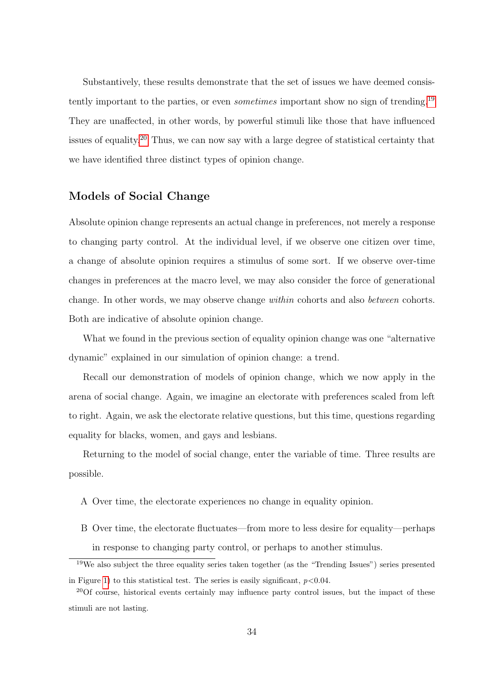Substantively, these results demonstrate that the set of issues we have deemed consistently important to the parties, or even *sometimes* important show no sign of trending.<sup>[19](#page-33-0)</sup> They are unaffected, in other words, by powerful stimuli like those that have influenced issues of equality.<sup>[20](#page-33-1)</sup> Thus, we can now say with a large degree of statistical certainty that we have identified three distinct types of opinion change.

#### Models of Social Change

Absolute opinion change represents an actual change in preferences, not merely a response to changing party control. At the individual level, if we observe one citizen over time, a change of absolute opinion requires a stimulus of some sort. If we observe over-time changes in preferences at the macro level, we may also consider the force of generational change. In other words, we may observe change within cohorts and also between cohorts. Both are indicative of absolute opinion change.

What we found in the previous section of equality opinion change was one "alternative dynamic" explained in our simulation of opinion change: a trend.

Recall our demonstration of models of opinion change, which we now apply in the arena of social change. Again, we imagine an electorate with preferences scaled from left to right. Again, we ask the electorate relative questions, but this time, questions regarding equality for blacks, women, and gays and lesbians.

Returning to the model of social change, enter the variable of time. Three results are possible.

- A Over time, the electorate experiences no change in equality opinion.
- B Over time, the electorate fluctuates—from more to less desire for equality—perhaps in response to changing party control, or perhaps to another stimulus.

<span id="page-33-0"></span><sup>19</sup>We also subject the three equality series taken together (as the "Trending Issues") series presented in Figure [1\)](#page-25-0) to this statistical test. The series is easily significant,  $p < 0.04$ .

<span id="page-33-1"></span><sup>&</sup>lt;sup>20</sup>Of course, historical events certainly may influence party control issues, but the impact of these stimuli are not lasting.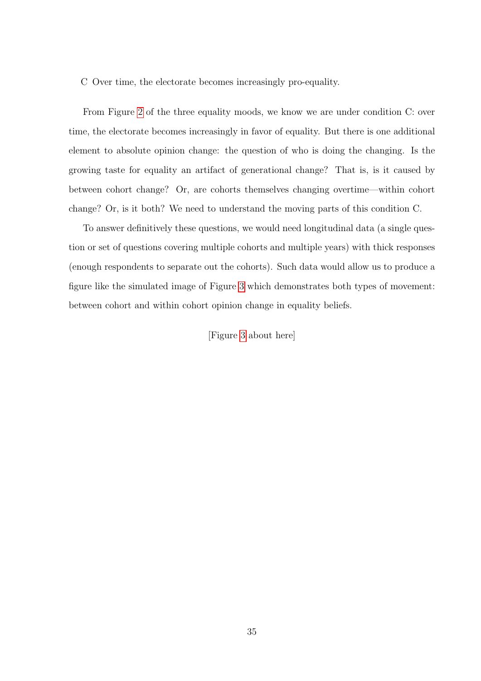C Over time, the electorate becomes increasingly pro-equality.

From Figure [2](#page-30-0) of the three equality moods, we know we are under condition C: over time, the electorate becomes increasingly in favor of equality. But there is one additional element to absolute opinion change: the question of who is doing the changing. Is the growing taste for equality an artifact of generational change? That is, is it caused by between cohort change? Or, are cohorts themselves changing overtime—within cohort change? Or, is it both? We need to understand the moving parts of this condition C.

To answer definitively these questions, we would need longitudinal data (a single question or set of questions covering multiple cohorts and multiple years) with thick responses (enough respondents to separate out the cohorts). Such data would allow us to produce a figure like the simulated image of Figure [3](#page-35-0) which demonstrates both types of movement: between cohort and within cohort opinion change in equality beliefs.

[Figure [3](#page-35-0) about here]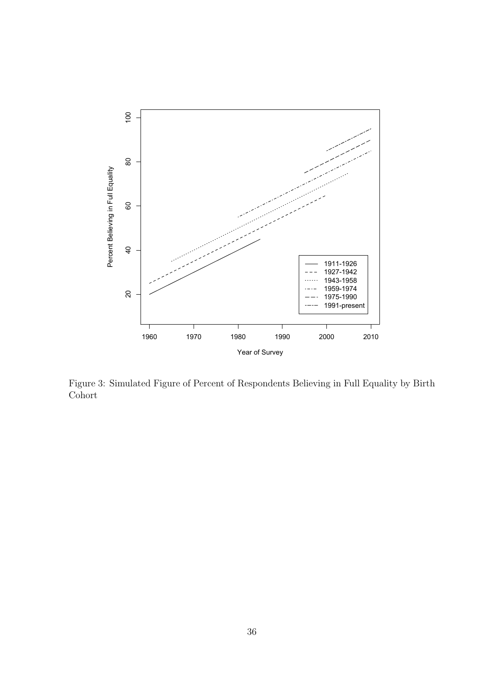

<span id="page-35-0"></span>Figure 3: Simulated Figure of Percent of Respondents Believing in Full Equality by Birth Cohort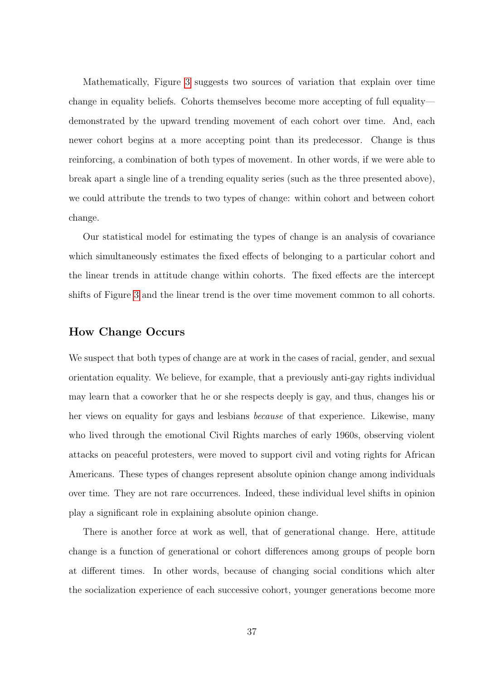Mathematically, Figure [3](#page-35-0) suggests two sources of variation that explain over time change in equality beliefs. Cohorts themselves become more accepting of full equality demonstrated by the upward trending movement of each cohort over time. And, each newer cohort begins at a more accepting point than its predecessor. Change is thus reinforcing, a combination of both types of movement. In other words, if we were able to break apart a single line of a trending equality series (such as the three presented above), we could attribute the trends to two types of change: within cohort and between cohort change.

Our statistical model for estimating the types of change is an analysis of covariance which simultaneously estimates the fixed effects of belonging to a particular cohort and the linear trends in attitude change within cohorts. The fixed effects are the intercept shifts of Figure [3](#page-35-0) and the linear trend is the over time movement common to all cohorts.

#### How Change Occurs

We suspect that both types of change are at work in the cases of racial, gender, and sexual orientation equality. We believe, for example, that a previously anti-gay rights individual may learn that a coworker that he or she respects deeply is gay, and thus, changes his or her views on equality for gays and lesbians because of that experience. Likewise, many who lived through the emotional Civil Rights marches of early 1960s, observing violent attacks on peaceful protesters, were moved to support civil and voting rights for African Americans. These types of changes represent absolute opinion change among individuals over time. They are not rare occurrences. Indeed, these individual level shifts in opinion play a significant role in explaining absolute opinion change.

There is another force at work as well, that of generational change. Here, attitude change is a function of generational or cohort differences among groups of people born at different times. In other words, because of changing social conditions which alter the socialization experience of each successive cohort, younger generations become more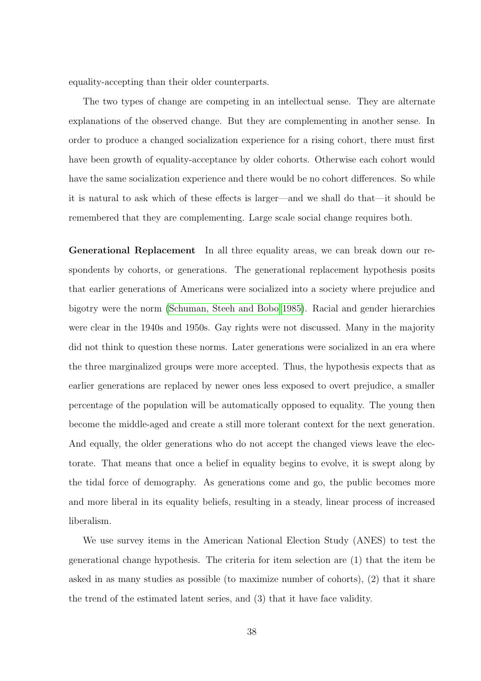equality-accepting than their older counterparts.

The two types of change are competing in an intellectual sense. They are alternate explanations of the observed change. But they are complementing in another sense. In order to produce a changed socialization experience for a rising cohort, there must first have been growth of equality-acceptance by older cohorts. Otherwise each cohort would have the same socialization experience and there would be no cohort differences. So while it is natural to ask which of these effects is larger—and we shall do that—it should be remembered that they are complementing. Large scale social change requires both.

Generational Replacement In all three equality areas, we can break down our respondents by cohorts, or generations. The generational replacement hypothesis posits that earlier generations of Americans were socialized into a society where prejudice and bigotry were the norm [\(Schuman, Steeh and Bobo 1985\)](#page-57-8). Racial and gender hierarchies were clear in the 1940s and 1950s. Gay rights were not discussed. Many in the majority did not think to question these norms. Later generations were socialized in an era where the three marginalized groups were more accepted. Thus, the hypothesis expects that as earlier generations are replaced by newer ones less exposed to overt prejudice, a smaller percentage of the population will be automatically opposed to equality. The young then become the middle-aged and create a still more tolerant context for the next generation. And equally, the older generations who do not accept the changed views leave the electorate. That means that once a belief in equality begins to evolve, it is swept along by the tidal force of demography. As generations come and go, the public becomes more and more liberal in its equality beliefs, resulting in a steady, linear process of increased liberalism.

We use survey items in the American National Election Study (ANES) to test the generational change hypothesis. The criteria for item selection are (1) that the item be asked in as many studies as possible (to maximize number of cohorts), (2) that it share the trend of the estimated latent series, and (3) that it have face validity.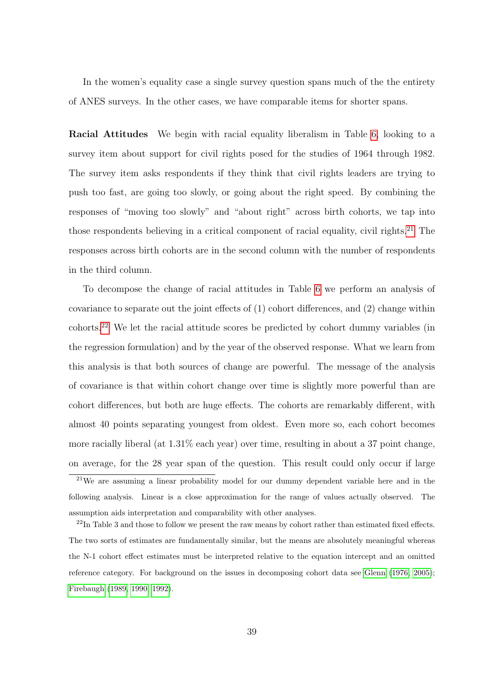In the women's equality case a single survey question spans much of the the entirety of ANES surveys. In the other cases, we have comparable items for shorter spans.

Racial Attitudes We begin with racial equality liberalism in Table [6,](#page-40-0) looking to a survey item about support for civil rights posed for the studies of 1964 through 1982. The survey item asks respondents if they think that civil rights leaders are trying to push too fast, are going too slowly, or going about the right speed. By combining the responses of "moving too slowly" and "about right" across birth cohorts, we tap into those respondents believing in a critical component of racial equality, civil rights.<sup>[21](#page-38-0)</sup> The responses across birth cohorts are in the second column with the number of respondents in the third column.

To decompose the change of racial attitudes in Table [6](#page-40-0) we perform an analysis of covariance to separate out the joint effects of (1) cohort differences, and (2) change within cohorts.[22](#page-38-1) We let the racial attitude scores be predicted by cohort dummy variables (in the regression formulation) and by the year of the observed response. What we learn from this analysis is that both sources of change are powerful. The message of the analysis of covariance is that within cohort change over time is slightly more powerful than are cohort differences, but both are huge effects. The cohorts are remarkably different, with almost 40 points separating youngest from oldest. Even more so, each cohort becomes more racially liberal (at 1.31% each year) over time, resulting in about a 37 point change, on average, for the 28 year span of the question. This result could only occur if large

<span id="page-38-0"></span> $21$ We are assuming a linear probability model for our dummy dependent variable here and in the following analysis. Linear is a close approximation for the range of values actually observed. The assumption aids interpretation and comparability with other analyses.

<span id="page-38-1"></span><sup>22</sup>In Table 3 and those to follow we present the raw means by cohort rather than estimated fixed effects. The two sorts of estimates are fundamentally similar, but the means are absolutely meaningful whereas the N-1 cohort effect estimates must be interpreted relative to the equation intercept and an omitted reference category. For background on the issues in decomposing cohort data see [Glenn](#page-56-5) [\(1976,](#page-56-5) [2005\)](#page-56-6); [Firebaugh](#page-56-7) [\(1989,](#page-56-7) [1990,](#page-56-8) [1992\)](#page-56-9).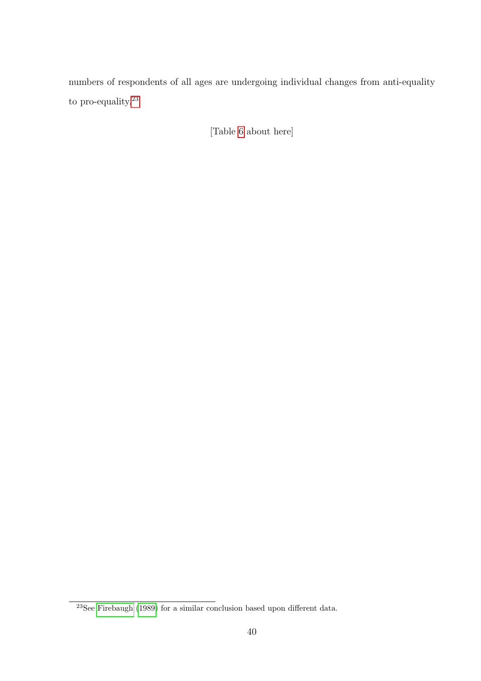numbers of respondents of all ages are undergoing individual changes from anti-equality to pro-equality.  $\real^{23}$  $\real^{23}$  $\real^{23}$ 

[Table [6](#page-40-0) about here]

<span id="page-39-0"></span> $23$ See [Firebaugh](#page-56-7) [\(1989\)](#page-56-7) for a similar conclusion based upon different data.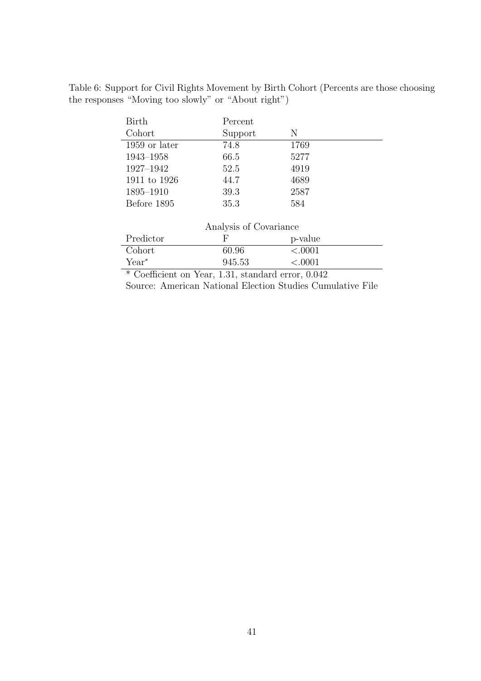<span id="page-40-0"></span>Table 6: Support for Civil Rights Movement by Birth Cohort (Percents are those choosing the responses "Moving too slowly" or "About right")

| <b>Birth</b>                            | Percent                |                      |
|-----------------------------------------|------------------------|----------------------|
| Cohort                                  | Support                | N                    |
| 1959 or later                           | 74.8                   | 1769                 |
| 1943-1958                               | 66.5                   | 5277                 |
| 1927-1942                               | 52.5                   | 4919                 |
| 1911 to 1926                            | 44.7                   | 4689                 |
| 1895-1910                               | 39.3                   | 2587                 |
| Before 1895                             | 35.3                   | 584                  |
|                                         |                        |                      |
|                                         | Analysis of Covariance |                      |
| Predictor                               | F                      | p-value              |
| Cohort                                  | 60.96                  | < .0001              |
| $Year^*$                                | 945.53                 | < .0001              |
| $\sim$ $\sim$<br>$\sim$ .<br><b>T T</b> | п.<br>$\mathbf{I}$     | $\sim$ $\sim$ $\sim$ |

\* Coefficient on Year, 1.31, standard error, 0.042 Source: American National Election Studies Cumulative File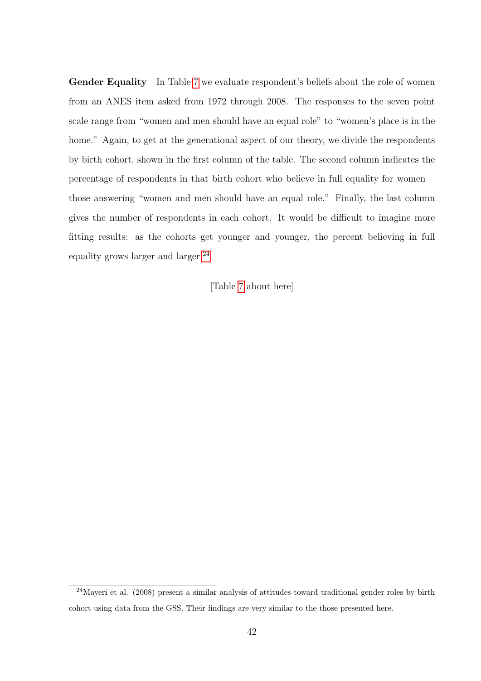Gender Equality In Table [7](#page-42-0) we evaluate respondent's beliefs about the role of women from an ANES item asked from 1972 through 2008. The responses to the seven point scale range from "women and men should have an equal role" to "women's place is in the home." Again, to get at the generational aspect of our theory, we divide the respondents by birth cohort, shown in the first column of the table. The second column indicates the percentage of respondents in that birth cohort who believe in full equality for women those answering "women and men should have an equal role." Finally, the last column gives the number of respondents in each cohort. It would be difficult to imagine more fitting results: as the cohorts get younger and younger, the percent believing in full equality grows larger and larger. $^{24}$  $^{24}$  $^{24}$ 

[Table [7](#page-42-0) about here]

<span id="page-41-0"></span> $24$ Mayeri et al. (2008) present a similar analysis of attitudes toward traditional gender roles by birth cohort using data from the GSS. Their findings are very similar to the those presented here.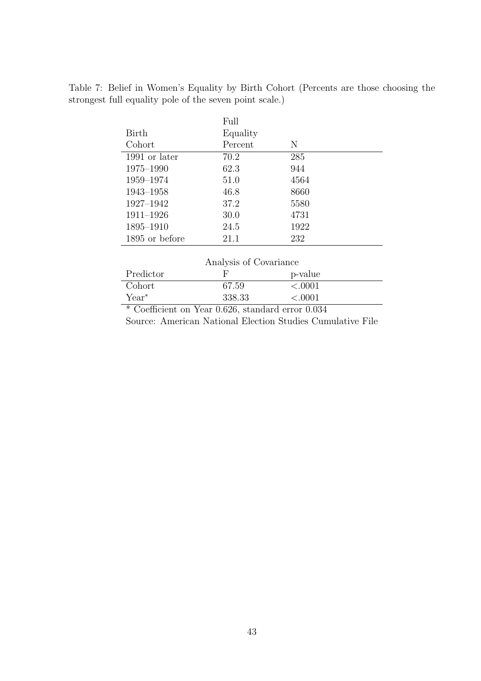Table 7: Belief in Women's Equality by Birth Cohort (Percents are those choosing the strongest full equality pole of the seven point scale.)

<span id="page-42-0"></span>

|                | Full     |      |
|----------------|----------|------|
| Birth          | Equality |      |
| Cohort         | Percent  | N    |
| 1991 or later  | 70.2     | 285  |
| 1975–1990      | 62.3     | 944  |
| 1959–1974      | 51.0     | 4564 |
| 1943–1958      | 46.8     | 8660 |
| 1927-1942      | 37.2     | 5580 |
| $1911 - 1926$  | 30.0     | 4731 |
| 1895–1910      | 24.5     | 1922 |
| 1895 or before | 21.1     | 232  |
|                |          |      |

| Analysis of Covariance      |        |                              |  |  |  |  |
|-----------------------------|--------|------------------------------|--|--|--|--|
| Predictor                   |        | p-value                      |  |  |  |  |
| Cohort                      | 67.59  | < 0.001                      |  |  |  |  |
| $Year^*$                    | 338.33 | < 0.001                      |  |  |  |  |
| $\sim$ $\sim$<br>$\infty$ . | 0.000  | $\cap$ $\cap$ $\cap$ $\cdot$ |  |  |  |  |

\* Coefficient on Year 0.626, standard error 0.034 Source: American National Election Studies Cumulative File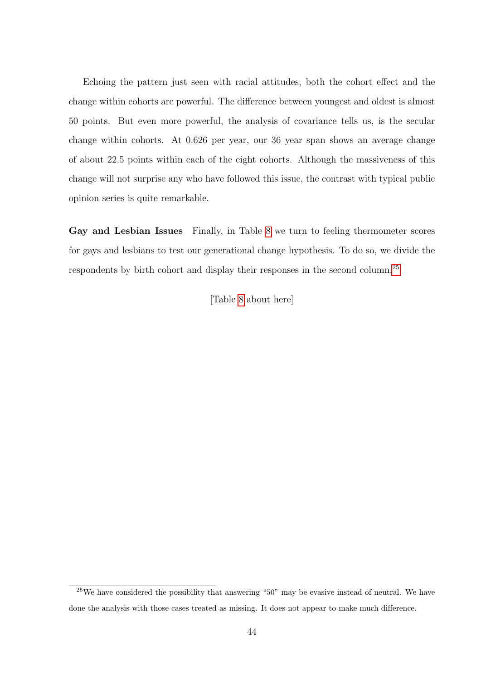Echoing the pattern just seen with racial attitudes, both the cohort effect and the change within cohorts are powerful. The difference between youngest and oldest is almost 50 points. But even more powerful, the analysis of covariance tells us, is the secular change within cohorts. At 0.626 per year, our 36 year span shows an average change of about 22.5 points within each of the eight cohorts. Although the massiveness of this change will not surprise any who have followed this issue, the contrast with typical public opinion series is quite remarkable.

Gay and Lesbian Issues Finally, in Table [8](#page-44-0) we turn to feeling thermometer scores for gays and lesbians to test our generational change hypothesis. To do so, we divide the respondents by birth cohort and display their responses in the second column.[25](#page-43-0)

[Table [8](#page-44-0) about here]

<span id="page-43-0"></span><sup>&</sup>lt;sup>25</sup>We have considered the possibility that answering "50" may be evasive instead of neutral. We have done the analysis with those cases treated as missing. It does not appear to make much difference.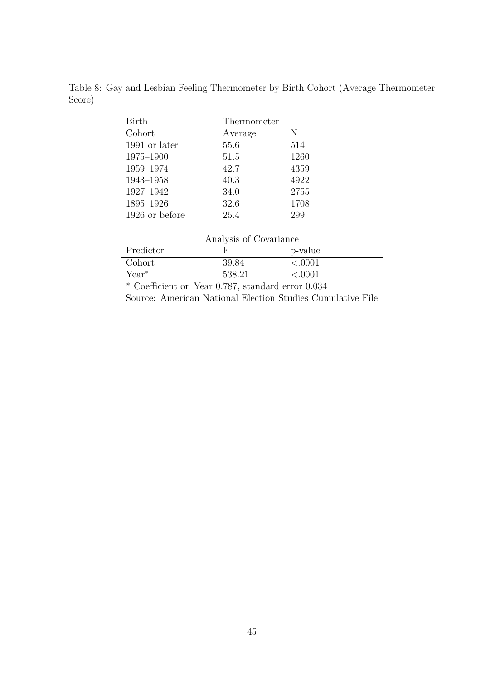| <b>Birth</b>   | Thermometer |      |
|----------------|-------------|------|
| Cohort         | Average     | N    |
| 1991 or later  | 55.6        | 514  |
| 1975-1900      | 51.5        | 1260 |
| 1959-1974      | 42.7        | 4359 |
| 1943-1958      | 40.3        | 4922 |
| 1927-1942      | 34.0        | 2755 |
| 1895-1926      | 32.6        | 1708 |
| 1926 or before | 25.4        | 299  |

<span id="page-44-0"></span>Table 8: Gay and Lesbian Feeling Thermometer by Birth Cohort (Average Thermometer Score)

| Predictor<br>p-value<br>Cohort | Analysis of Covariance |         |
|--------------------------------|------------------------|---------|
|                                |                        |         |
|                                | 39.84                  | < 0.001 |
| $Year^*$<br>538.21<br>< 0.001  |                        |         |

\* Coefficient on Year 0.787, standard error 0.034

Source: American National Election Studies Cumulative File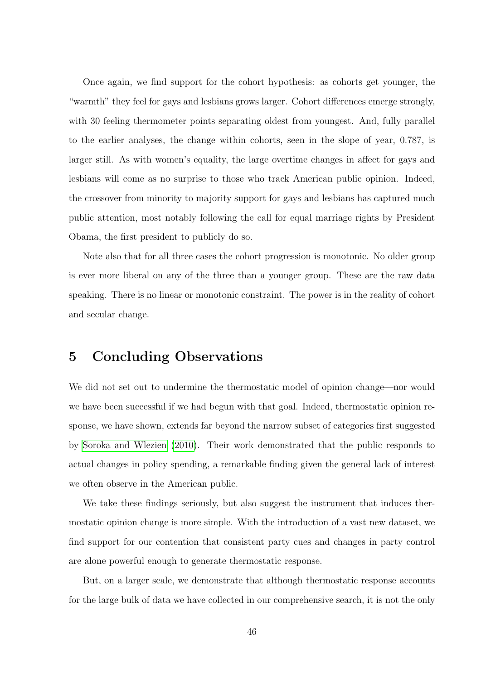Once again, we find support for the cohort hypothesis: as cohorts get younger, the "warmth" they feel for gays and lesbians grows larger. Cohort differences emerge strongly, with 30 feeling thermometer points separating oldest from youngest. And, fully parallel to the earlier analyses, the change within cohorts, seen in the slope of year, 0.787, is larger still. As with women's equality, the large overtime changes in affect for gays and lesbians will come as no surprise to those who track American public opinion. Indeed, the crossover from minority to majority support for gays and lesbians has captured much public attention, most notably following the call for equal marriage rights by President Obama, the first president to publicly do so.

Note also that for all three cases the cohort progression is monotonic. No older group is ever more liberal on any of the three than a younger group. These are the raw data speaking. There is no linear or monotonic constraint. The power is in the reality of cohort and secular change.

### <span id="page-45-0"></span>5 Concluding Observations

We did not set out to undermine the thermostatic model of opinion change—nor would we have been successful if we had begun with that goal. Indeed, thermostatic opinion response, we have shown, extends far beyond the narrow subset of categories first suggested by [Soroka and Wlezien](#page-57-2) [\(2010\)](#page-57-2). Their work demonstrated that the public responds to actual changes in policy spending, a remarkable finding given the general lack of interest we often observe in the American public.

We take these findings seriously, but also suggest the instrument that induces thermostatic opinion change is more simple. With the introduction of a vast new dataset, we find support for our contention that consistent party cues and changes in party control are alone powerful enough to generate thermostatic response.

But, on a larger scale, we demonstrate that although thermostatic response accounts for the large bulk of data we have collected in our comprehensive search, it is not the only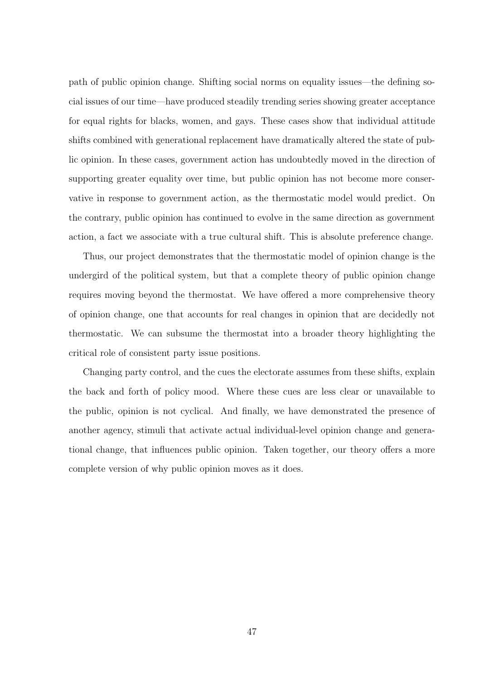path of public opinion change. Shifting social norms on equality issues—the defining social issues of our time—have produced steadily trending series showing greater acceptance for equal rights for blacks, women, and gays. These cases show that individual attitude shifts combined with generational replacement have dramatically altered the state of public opinion. In these cases, government action has undoubtedly moved in the direction of supporting greater equality over time, but public opinion has not become more conservative in response to government action, as the thermostatic model would predict. On the contrary, public opinion has continued to evolve in the same direction as government action, a fact we associate with a true cultural shift. This is absolute preference change.

Thus, our project demonstrates that the thermostatic model of opinion change is the undergird of the political system, but that a complete theory of public opinion change requires moving beyond the thermostat. We have offered a more comprehensive theory of opinion change, one that accounts for real changes in opinion that are decidedly not thermostatic. We can subsume the thermostat into a broader theory highlighting the critical role of consistent party issue positions.

Changing party control, and the cues the electorate assumes from these shifts, explain the back and forth of policy mood. Where these cues are less clear or unavailable to the public, opinion is not cyclical. And finally, we have demonstrated the presence of another agency, stimuli that activate actual individual-level opinion change and generational change, that influences public opinion. Taken together, our theory offers a more complete version of why public opinion moves as it does.

47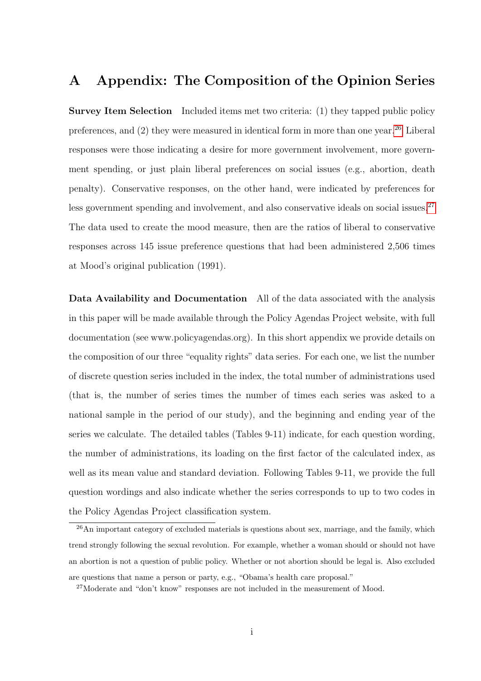## <span id="page-47-0"></span>A Appendix: The Composition of the Opinion Series

Survey Item Selection Included items met two criteria: (1) they tapped public policy preferences, and  $(2)$  they were measured in identical form in more than one year.<sup>[26](#page-47-1)</sup> Liberal responses were those indicating a desire for more government involvement, more government spending, or just plain liberal preferences on social issues (e.g., abortion, death penalty). Conservative responses, on the other hand, were indicated by preferences for less government spending and involvement, and also conservative ideals on social issues.<sup>[27](#page-47-2)</sup> The data used to create the mood measure, then are the ratios of liberal to conservative responses across 145 issue preference questions that had been administered 2,506 times at Mood's original publication (1991).

Data Availability and Documentation All of the data associated with the analysis in this paper will be made available through the Policy Agendas Project website, with full documentation (see www.policyagendas.org). In this short appendix we provide details on the composition of our three "equality rights" data series. For each one, we list the number of discrete question series included in the index, the total number of administrations used (that is, the number of series times the number of times each series was asked to a national sample in the period of our study), and the beginning and ending year of the series we calculate. The detailed tables (Tables 9-11) indicate, for each question wording, the number of administrations, its loading on the first factor of the calculated index, as well as its mean value and standard deviation. Following Tables 9-11, we provide the full question wordings and also indicate whether the series corresponds to up to two codes in the Policy Agendas Project classification system.

<span id="page-47-1"></span> $^{26}$ An important category of excluded materials is questions about sex, marriage, and the family, which trend strongly following the sexual revolution. For example, whether a woman should or should not have an abortion is not a question of public policy. Whether or not abortion should be legal is. Also excluded are questions that name a person or party, e.g., "Obama's health care proposal."

<span id="page-47-2"></span><sup>&</sup>lt;sup>27</sup>Moderate and "don't know" responses are not included in the measurement of Mood.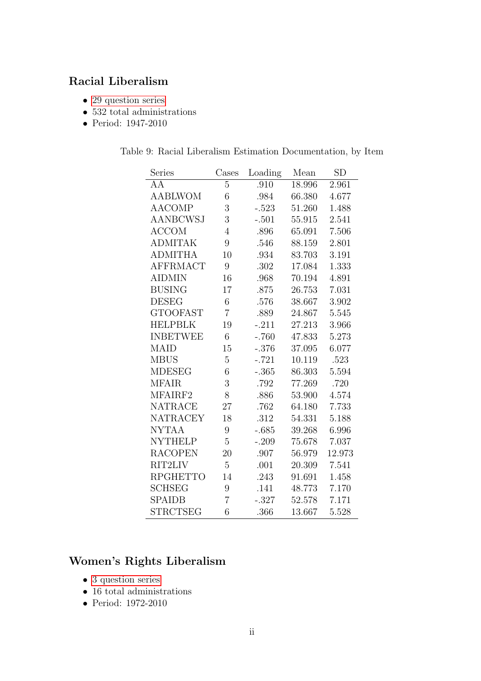## Racial Liberalism

- [29 question series](#page-50-0)
- $\bullet$  532 total administrations
- Period: 1947-2010

| Table 9: Racial Liberalism Estimation Documentation, by Item |  |
|--------------------------------------------------------------|--|
|--------------------------------------------------------------|--|

| Series          | Cases            | Loading |        | SD     |
|-----------------|------------------|---------|--------|--------|
| AA              | 5                | .910    | 18.996 | 2.961  |
| AABLWOM         | 6                | .984    | 66.380 | 4.677  |
| <b>AACOMP</b>   | 3                | $-.523$ | 51.260 | 1.488  |
| <b>AANBCWSJ</b> | 3                | $-.501$ | 55.915 | 2.541  |
| <b>ACCOM</b>    | $\overline{4}$   | .896    | 65.091 | 7.506  |
| <b>ADMITAK</b>  | 9                | .546    | 88.159 | 2.801  |
| <b>ADMITHA</b>  | 10               | .934    | 83.703 | 3.191  |
| <b>AFFRMACT</b> | 9                | .302    | 17.084 | 1.333  |
| <b>AIDMIN</b>   | 16               | .968    | 70.194 | 4.891  |
| <b>BUSING</b>   | 17               | .875    | 26.753 | 7.031  |
| <b>DESEG</b>    | 6                | .576    | 38.667 | 3.902  |
| <b>GTOOFAST</b> | $\overline{7}$   | .889    | 24.867 | 5.545  |
| <b>HELPBLK</b>  | 19               | $-.211$ | 27.213 | 3.966  |
| <b>INBETWEE</b> | 6                | $-.760$ | 47.833 | 5.273  |
| <b>MAID</b>     | 15               | $-.376$ | 37.095 | 6.077  |
| <b>MBUS</b>     | $\overline{5}$   | $-.721$ | 10.119 | .523   |
| <b>MDESEG</b>   | 6                | $-.365$ | 86.303 | 5.594  |
| <b>MFAIR</b>    | 3                | .792    | 77.269 | .720   |
| MFAIRF2         | 8                | .886    | 53.900 | 4.574  |
| <b>NATRACE</b>  | 27               | .762    | 64.180 | 7.733  |
| <b>NATRACEY</b> | 18               | .312    | 54.331 | 5.188  |
| <b>NYTAA</b>    | $\boldsymbol{9}$ | $-.685$ | 39.268 | 6.996  |
| <b>NYTHELP</b>  | 5                | $-.209$ | 75.678 | 7.037  |
| <b>RACOPEN</b>  | 20               | .907    | 56.979 | 12.973 |
| RIT2LIV         | $\overline{5}$   | .001    | 20.309 | 7.541  |
| <b>RPGHETTO</b> | 14               | .243    | 91.691 | 1.458  |
| <b>SCHSEG</b>   | 9                | .141    | 48.773 | 7.170  |
| <b>SPAIDB</b>   | $\overline{7}$   | $-.327$ | 52.578 | 7.171  |
| STRCTSEG        | 6                | .366    | 13.667 | 5.528  |

## Women's Rights Liberalism

- [3 question series](#page-53-0)
- $\bullet~$  16 total administrations
- Period: 1972-2010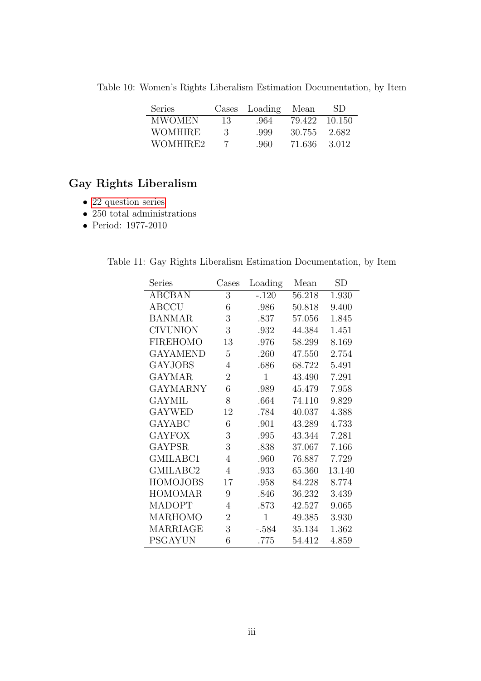| <b>Series</b> | Cases | Loading | Mean   | SD     |
|---------------|-------|---------|--------|--------|
| <b>MWOMEN</b> | 13    | .964    | 79.422 | 10.150 |
| WOMHIRE       | 3     | .999    | 30.755 | 2.682  |
| WOMHIRE2      |       | -960-   | 71.636 | 3.012  |
|               |       |         |        |        |

Table 10: Women's Rights Liberalism Estimation Documentation, by Item

## Gay Rights Liberalism

- [22 question series](#page-53-1)
- 250 total administrations
- Period: 1977-2010

|  |  |  | Table 11: Gay Rights Liberalism Estimation Documentation, by Item |  |
|--|--|--|-------------------------------------------------------------------|--|
|  |  |  |                                                                   |  |

| Series          | Cases          | Loading      | Mean   | SD     |
|-----------------|----------------|--------------|--------|--------|
| <b>ABCBAN</b>   | 3              | $-.120$      | 56.218 | 1.930  |
| <b>ABCCU</b>    | 6              | .986         | 50.818 | 9.400  |
| <b>BANMAR</b>   | 3              | .837         | 57.056 | 1.845  |
| <b>CIVUNION</b> | 3              | .932         | 44.384 | 1.451  |
| <b>FIREHOMO</b> | 13             | .976         | 58.299 | 8.169  |
| <b>GAYAMEND</b> | 5              | .260         | 47.550 | 2.754  |
| <b>GAYJOBS</b>  | 4              | .686         | 68.722 | 5.491  |
| <b>GAYMAR</b>   | $\overline{2}$ | $\mathbf{1}$ | 43.490 | 7.291  |
| <b>GAYMARNY</b> | 6              | .989         | 45.479 | 7.958  |
| <b>GAYMIL</b>   | 8              | .664         | 74.110 | 9.829  |
| <b>GAYWED</b>   | 12             | .784         | 40.037 | 4.388  |
| <b>GAYABC</b>   | 6              | .901         | 43.289 | 4.733  |
| <b>GAYFOX</b>   | 3              | .995         | 43.344 | 7.281  |
| <b>GAYPSR</b>   | 3              | .838         | 37.067 | 7.166  |
| GMILABC1        | 4              | .960         | 76.887 | 7.729  |
| GMILABC2        | 4              | .933         | 65.360 | 13.140 |
| <b>HOMOJOBS</b> | 17             | .958         | 84.228 | 8.774  |
| <b>HOMOMAR</b>  | 9              | .846         | 36.232 | 3.439  |
| <b>MADOPT</b>   | 4              | .873         | 42.527 | 9.065  |
| <b>MARHOMO</b>  | $\overline{2}$ | $\mathbf{1}$ | 49.385 | 3.930  |
| MARRIAGE        | 3              | $-.584$      | 35.134 | 1.362  |
| <b>PSGAYUN</b>  | 6              | .775         | 54.412 | 4.859  |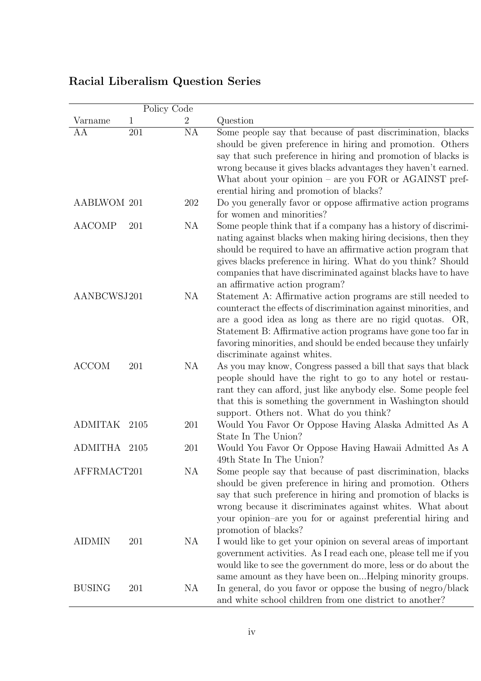<span id="page-50-0"></span>

|                    | Policy Code |                 |                                                                                                                                                                                                                                                                                                                                                                     |
|--------------------|-------------|-----------------|---------------------------------------------------------------------------------------------------------------------------------------------------------------------------------------------------------------------------------------------------------------------------------------------------------------------------------------------------------------------|
| Varname            | 1           | 2               | Question                                                                                                                                                                                                                                                                                                                                                            |
| AA                 | 201         | $\overline{NA}$ | Some people say that because of past discrimination, blacks<br>should be given preference in hiring and promotion. Others<br>say that such preference in hiring and promotion of blacks is<br>wrong because it gives blacks advantages they haven't earned.<br>What about your opinion $-$ are you FOR or AGAINST pref-<br>erential hiring and promotion of blacks? |
| <b>AABLWOM 201</b> |             | 202             | Do you generally favor or oppose affirmative action programs<br>for women and minorities?                                                                                                                                                                                                                                                                           |
| <b>AACOMP</b>      | 201         | NA              | Some people think that if a company has a history of discrimi-<br>nating against blacks when making hiring decisions, then they<br>should be required to have an affirmative action program that<br>gives blacks preference in hiring. What do you think? Should<br>companies that have discriminated against blacks have to have<br>an affirmative action program? |
| AANBCWSJ201        |             | NA              | Statement A: Affirmative action programs are still needed to<br>counteract the effects of discrimination against minorities, and<br>are a good idea as long as there are no rigid quotas. OR,<br>Statement B: Affirmative action programs have gone too far in<br>favoring minorities, and should be ended because they unfairly<br>discriminate against whites.    |
| <b>ACCOM</b>       | 201         | NA              | As you may know, Congress passed a bill that says that black<br>people should have the right to go to any hotel or restau-<br>rant they can afford, just like anybody else. Some people feel<br>that this is something the government in Washington should<br>support. Others not. What do you think?                                                               |
| <b>ADMITAK</b>     | 2105        | 201             | Would You Favor Or Oppose Having Alaska Admitted As A<br>State In The Union?                                                                                                                                                                                                                                                                                        |
| <b>ADMITHA</b>     | 2105        | 201             | Would You Favor Or Oppose Having Hawaii Admitted As A<br>49th State In The Union?                                                                                                                                                                                                                                                                                   |
| AFFRMACT201        |             | <b>NA</b>       | Some people say that because of past discrimination, blacks<br>should be given preference in hiring and promotion. Others<br>say that such preference in hiring and promotion of blacks is<br>wrong because it discriminates against whites. What about<br>your opinion-are you for or against preferential hiring and<br>promotion of blacks?                      |
| <b>AIDMIN</b>      | 201         | NA              | I would like to get your opinion on several areas of important<br>government activities. As I read each one, please tell me if you<br>would like to see the government do more, less or do about the<br>same amount as they have been onHelping minority groups.                                                                                                    |
| <b>BUSING</b>      | 201         | NA              | In general, do you favor or oppose the busing of negro/black<br>and white school children from one district to another?                                                                                                                                                                                                                                             |

## Racial Liberalism Question Series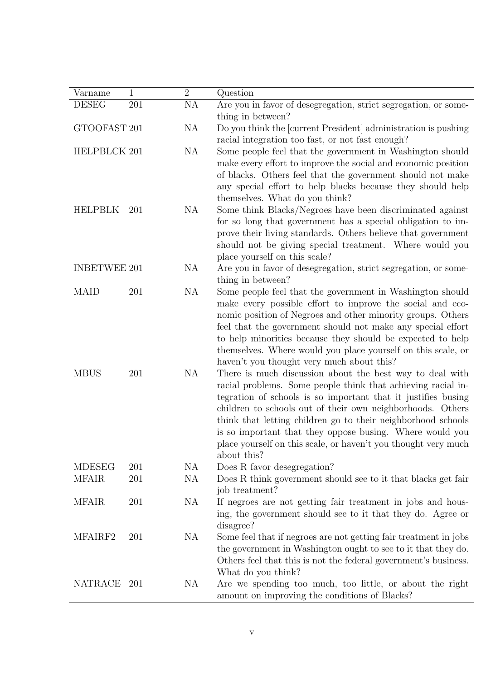| Varname             | $\mathbf 1$ | $\overline{2}$ | Question                                                                                                                                                                                                                                                                                                                                                                                                                                                                                                          |
|---------------------|-------------|----------------|-------------------------------------------------------------------------------------------------------------------------------------------------------------------------------------------------------------------------------------------------------------------------------------------------------------------------------------------------------------------------------------------------------------------------------------------------------------------------------------------------------------------|
| <b>DESEG</b>        | 201         | NA             | Are you in favor of desegregation, strict segregation, or some-                                                                                                                                                                                                                                                                                                                                                                                                                                                   |
|                     |             |                | thing in between?                                                                                                                                                                                                                                                                                                                                                                                                                                                                                                 |
| GTOOFAST 201        |             | <b>NA</b>      | Do you think the [current President] administration is pushing<br>racial integration too fast, or not fast enough?                                                                                                                                                                                                                                                                                                                                                                                                |
| HELPBLCK 201        |             | <b>NA</b>      | Some people feel that the government in Washington should                                                                                                                                                                                                                                                                                                                                                                                                                                                         |
|                     |             |                | make every effort to improve the social and economic position<br>of blacks. Others feel that the government should not make<br>any special effort to help blacks because they should help<br>themselves. What do you think?                                                                                                                                                                                                                                                                                       |
| <b>HELPBLK</b>      | 201         | NA             | Some think Blacks/Negroes have been discriminated against<br>for so long that government has a special obligation to im-<br>prove their living standards. Others believe that government<br>should not be giving special treatment. Where would you<br>place yourself on this scale?                                                                                                                                                                                                                              |
| <b>INBETWEE 201</b> |             | NA             | Are you in favor of desegregation, strict segregation, or some-<br>thing in between?                                                                                                                                                                                                                                                                                                                                                                                                                              |
| <b>MAID</b>         | 201         | <b>NA</b>      | Some people feel that the government in Washington should<br>make every possible effort to improve the social and eco-<br>nomic position of Negroes and other minority groups. Others<br>feel that the government should not make any special effort<br>to help minorities because they should be expected to help<br>themselves. Where would you place yourself on this scale, or                                                                                                                                |
| <b>MBUS</b>         | 201         | NA             | haven't you thought very much about this?<br>There is much discussion about the best way to deal with<br>racial problems. Some people think that achieving racial in-<br>tegration of schools is so important that it justifies busing<br>children to schools out of their own neighborhoods. Others<br>think that letting children go to their neighborhood schools<br>is so important that they oppose busing. Where would you<br>place yourself on this scale, or haven't you thought very much<br>about this? |
| <b>MDESEG</b>       | 201         | NA             | Does R favor desegregation?                                                                                                                                                                                                                                                                                                                                                                                                                                                                                       |
| <b>MFAIR</b>        | 201         | NA             | Does R think government should see to it that blacks get fair<br>job treatment?                                                                                                                                                                                                                                                                                                                                                                                                                                   |
| <b>MFAIR</b>        | 201         | NA             | If negroes are not getting fair treatment in jobs and hous-<br>ing, the government should see to it that they do. Agree or<br>disagree?                                                                                                                                                                                                                                                                                                                                                                           |
| MFAIRF2             | 201         | NA             | Some feel that if negroes are not getting fair treatment in jobs<br>the government in Washington ought to see to it that they do.<br>Others feel that this is not the federal government's business.<br>What do you think?                                                                                                                                                                                                                                                                                        |
| NATRACE 201         |             | NA             | Are we spending too much, too little, or about the right<br>amount on improving the conditions of Blacks?                                                                                                                                                                                                                                                                                                                                                                                                         |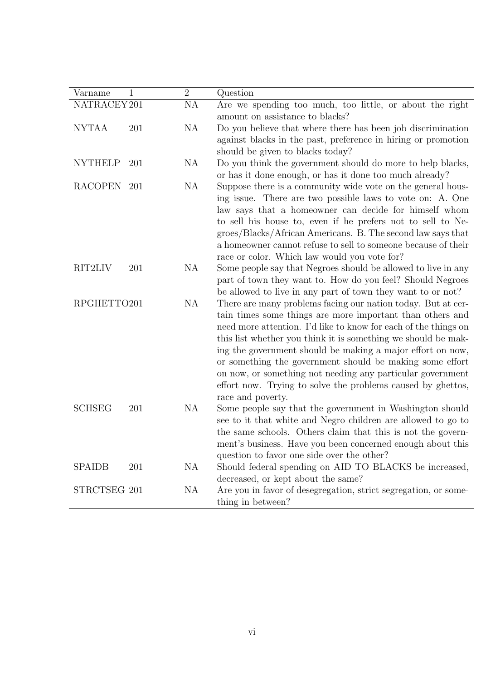| Varname        | $\mathbf{1}$ | $\overline{2}$ | Question                                                        |
|----------------|--------------|----------------|-----------------------------------------------------------------|
| NATRACEY 201   |              | NA             | Are we spending too much, too little, or about the right        |
|                |              |                | amount on assistance to blacks?                                 |
| <b>NYTAA</b>   | 201          | NA             | Do you believe that where there has been job discrimination     |
|                |              |                | against blacks in the past, preference in hiring or promotion   |
|                |              |                | should be given to blacks today?                                |
| <b>NYTHELP</b> | 201          | NA             | Do you think the government should do more to help blacks,      |
|                |              |                | or has it done enough, or has it done too much already?         |
| RACOPEN 201    |              | NA             | Suppose there is a community wide vote on the general hous-     |
|                |              |                | ing issue. There are two possible laws to vote on: A. One       |
|                |              |                | law says that a homeowner can decide for himself whom           |
|                |              |                | to sell his house to, even if he prefers not to sell to Ne-     |
|                |              |                | groes/Blacks/African Americans. B. The second law says that     |
|                |              |                | a homeowner cannot refuse to sell to someone because of their   |
|                |              |                | race or color. Which law would you vote for?                    |
| RIT2LIV        | 201          | NA             | Some people say that Negroes should be allowed to live in any   |
|                |              |                | part of town they want to. How do you feel? Should Negroes      |
|                |              |                | be allowed to live in any part of town they want to or not?     |
| RPGHETTO201    |              | NA             | There are many problems facing our nation today. But at cer-    |
|                |              |                | tain times some things are more important than others and       |
|                |              |                | need more attention. I'd like to know for each of the things on |
|                |              |                | this list whether you think it is something we should be mak-   |
|                |              |                | ing the government should be making a major effort on now,      |
|                |              |                | or something the government should be making some effort        |
|                |              |                | on now, or something not needing any particular government      |
|                |              |                | effort now. Trying to solve the problems caused by ghettos,     |
|                |              |                | race and poverty.                                               |
| <b>SCHSEG</b>  | 201          | NA             | Some people say that the government in Washington should        |
|                |              |                | see to it that white and Negro children are allowed to go to    |
|                |              |                | the same schools. Others claim that this is not the govern-     |
|                |              |                | ment's business. Have you been concerned enough about this      |
|                |              |                | question to favor one side over the other?                      |
| <b>SPAIDB</b>  | 201          | NA             | Should federal spending on AID TO BLACKS be increased,          |
|                |              |                | decreased, or kept about the same?                              |
| STRCTSEG 201   |              | NA             | Are you in favor of desegregation, strict segregation, or some- |
|                |              |                | thing in between?                                               |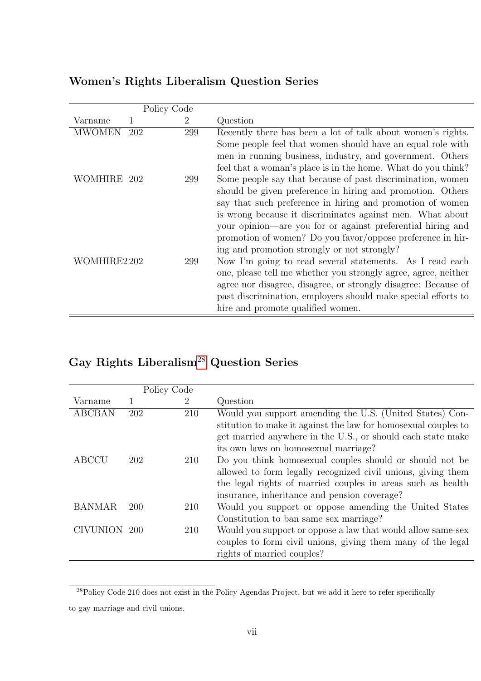<span id="page-53-0"></span>

|               | Policy Code |                |                                                                                                                                                                                                                                                                                                                                                                                                                                                                                |
|---------------|-------------|----------------|--------------------------------------------------------------------------------------------------------------------------------------------------------------------------------------------------------------------------------------------------------------------------------------------------------------------------------------------------------------------------------------------------------------------------------------------------------------------------------|
| Varname       |             | $\overline{2}$ | Question                                                                                                                                                                                                                                                                                                                                                                                                                                                                       |
| <b>MWOMEN</b> | 202         | 299            | Recently there has been a lot of talk about women's rights.                                                                                                                                                                                                                                                                                                                                                                                                                    |
|               |             |                | Some people feel that women should have an equal role with<br>men in running business, industry, and government. Others<br>feel that a woman's place is in the home. What do you think?                                                                                                                                                                                                                                                                                        |
| WOMHIRE 202   |             | 299            | Some people say that because of past discrimination, women<br>should be given preference in hiring and promotion. Others<br>say that such preference in hiring and promotion of women<br>is wrong because it discriminates against men. What about                                                                                                                                                                                                                             |
| WOMHIRE2 202  |             | 299            | your opinion—are you for or against preferential hiring and<br>promotion of women? Do you favor/oppose preference in hir-<br>ing and promotion strongly or not strongly?<br>Now I'm going to read several statements. As I read each<br>one, please tell me whether you strongly agree, agree, neither<br>agree nor disagree, disagree, or strongly disagree: Because of<br>past discrimination, employers should make special efforts to<br>hire and promote qualified women. |

## Women's Rights Liberalism Question Series

## Gay Rights Liberalism<sup>[28](#page-53-2)</sup> Question Series

<span id="page-53-1"></span>

|               | Policy Code |                |                                                                |
|---------------|-------------|----------------|----------------------------------------------------------------|
| Varname       |             | $\overline{2}$ | Question                                                       |
| <b>ABCBAN</b> | 202         | 210            | Would you support amending the U.S. (United States) Con-       |
|               |             |                | stitution to make it against the law for homosexual couples to |
|               |             |                | get married anywhere in the U.S., or should each state make    |
|               |             |                | its own laws on homosexual marriage?                           |
| ABCCU         | 202         | 210            | Do you think homosexual couples should or should not be        |
|               |             |                | allowed to form legally recognized civil unions, giving them   |
|               |             |                | the legal rights of married couples in areas such as health    |
|               |             |                | insurance, inheritance and pension coverage?                   |
| <b>BANMAR</b> | 200         | 210            | Would you support or oppose amending the United States         |
|               |             |                | Constitution to ban same sex marriage?                         |
| CIVUNION 200  |             | 210            | Would you support or oppose a law that would allow same-sex    |
|               |             |                | couples to form civil unions, giving them many of the legal    |
|               |             |                | rights of married couples?                                     |

<span id="page-53-2"></span><sup>&</sup>lt;sup>28</sup>Policy Code 210 does not exist in the Policy Agendas Project, but we add it here to refer specifically

to gay marriage and civil unions.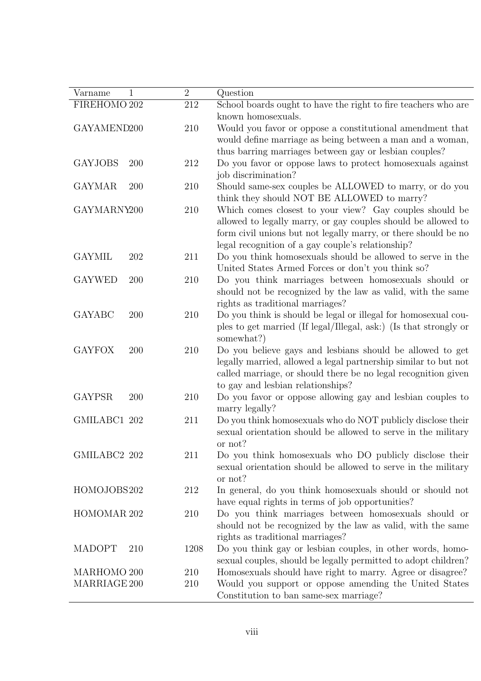| Varname<br>1                | $\sqrt{2}$ | Question                                                                                                                                                                                                                                        |
|-----------------------------|------------|-------------------------------------------------------------------------------------------------------------------------------------------------------------------------------------------------------------------------------------------------|
| FIREHOMO 202                | 212        | School boards ought to have the right to fire teachers who are<br>known homosexuals.                                                                                                                                                            |
| GAYAMEND200                 | 210        | Would you favor or oppose a constitutional amendment that<br>would define marriage as being between a man and a woman,<br>thus barring marriages between gay or lesbian couples?                                                                |
| <b>GAYJOBS</b><br>200       | 212        | Do you favor or oppose laws to protect homosexuals against<br>job discrimination?                                                                                                                                                               |
| <b>GAYMAR</b><br>200        | 210        | Should same-sex couples be ALLOWED to marry, or do you<br>think they should NOT BE ALLOWED to marry?                                                                                                                                            |
| GAYMARNY200                 | 210        | Which comes closest to your view? Gay couples should be<br>allowed to legally marry, or gay couples should be allowed to<br>form civil unions but not legally marry, or there should be no<br>legal recognition of a gay couple's relationship? |
| <b>GAYMIL</b><br>202        | 211        | Do you think homosexuals should be allowed to serve in the<br>United States Armed Forces or don't you think so?                                                                                                                                 |
| <b>GAYWED</b><br>200        | 210        | Do you think marriages between homosexuals should or<br>should not be recognized by the law as valid, with the same<br>rights as traditional marriages?                                                                                         |
| <b>GAYABC</b><br>200        | 210        | Do you think is should be legal or illegal for homosexual cou-<br>ples to get married (If legal/Illegal, ask:) (Is that strongly or<br>somewhat?)                                                                                               |
| <b>GAYFOX</b><br>200        | 210        | Do you believe gays and lesbians should be allowed to get<br>legally married, allowed a legal partnership similar to but not<br>called marriage, or should there be no legal recognition given<br>to gay and lesbian relationships?             |
| <b>GAYPSR</b><br>200        | 210        | Do you favor or oppose allowing gay and lesbian couples to<br>marry legally?                                                                                                                                                                    |
| GMILABC1 202                | 211        | Do you think homosexuals who do NOT publicly disclose their<br>sexual orientation should be allowed to serve in the military<br>or not?                                                                                                         |
| GMILABC2 202                | 211        | Do you think homosexuals who DO publicly disclose their<br>sexual orientation should be allowed to serve in the military<br>or not?                                                                                                             |
| HOMOJOBS202                 | 212        | In general, do you think homosexuals should or should not<br>have equal rights in terms of job opportunities?                                                                                                                                   |
| HOMOMAR 202                 | 210        | Do you think marriages between homosexuals should or<br>should not be recognized by the law as valid, with the same<br>rights as traditional marriages?                                                                                         |
| <b>MADOPT</b><br>210        | 1208       | Do you think gay or lesbian couples, in other words, homo-<br>sexual couples, should be legally permitted to adopt children?                                                                                                                    |
| MARHOMO 200<br>MARRIAGE 200 | 210<br>210 | Homosexuals should have right to marry. Agree or disagree?<br>Would you support or oppose amending the United States                                                                                                                            |
|                             |            | Constitution to ban same-sex marriage?                                                                                                                                                                                                          |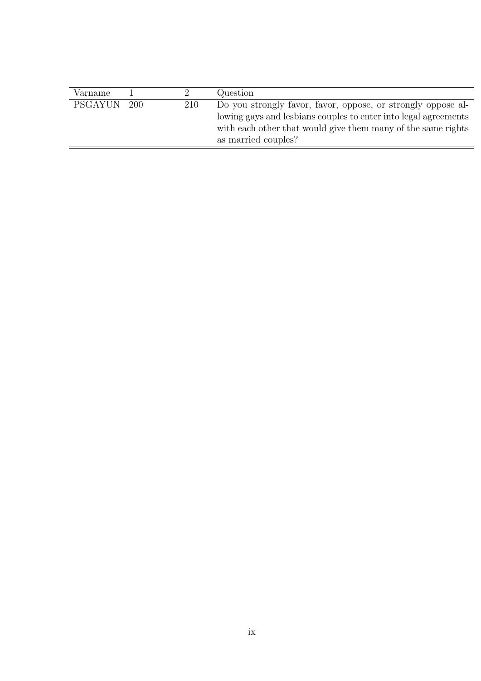| Varname        |      |     | Question                                                                                                                                                                                                               |
|----------------|------|-----|------------------------------------------------------------------------------------------------------------------------------------------------------------------------------------------------------------------------|
| <b>PSGAYUN</b> | -200 | 210 | Do you strongly favor, favor, oppose, or strongly oppose al-<br>lowing gays and lesbians couples to enter into legal agreements<br>with each other that would give them many of the same rights<br>as married couples? |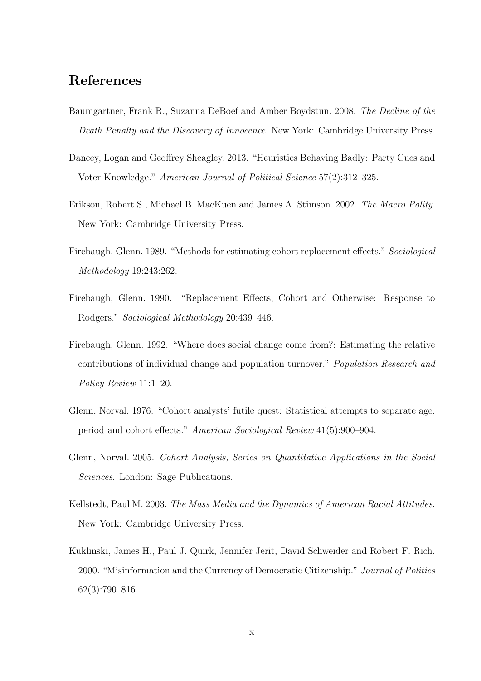## References

- <span id="page-56-2"></span>Baumgartner, Frank R., Suzanna DeBoef and Amber Boydstun. 2008. The Decline of the Death Penalty and the Discovery of Innocence. New York: Cambridge University Press.
- <span id="page-56-4"></span>Dancey, Logan and Geoffrey Sheagley. 2013. "Heuristics Behaving Badly: Party Cues and Voter Knowledge." American Journal of Political Science 57(2):312–325.
- <span id="page-56-0"></span>Erikson, Robert S., Michael B. MacKuen and James A. Stimson. 2002. The Macro Polity. New York: Cambridge University Press.
- <span id="page-56-7"></span>Firebaugh, Glenn. 1989. "Methods for estimating cohort replacement effects." Sociological Methodology 19:243:262.
- <span id="page-56-8"></span>Firebaugh, Glenn. 1990. "Replacement Effects, Cohort and Otherwise: Response to Rodgers." Sociological Methodology 20:439–446.
- <span id="page-56-9"></span>Firebaugh, Glenn. 1992. "Where does social change come from?: Estimating the relative contributions of individual change and population turnover." Population Research and Policy Review 11:1–20.
- <span id="page-56-5"></span>Glenn, Norval. 1976. "Cohort analysts' futile quest: Statistical attempts to separate age, period and cohort effects." American Sociological Review 41(5):900–904.
- <span id="page-56-6"></span>Glenn, Norval. 2005. Cohort Analysis, Series on Quantitative Applications in the Social Sciences. London: Sage Publications.
- <span id="page-56-1"></span>Kellstedt, Paul M. 2003. The Mass Media and the Dynamics of American Racial Attitudes. New York: Cambridge University Press.
- <span id="page-56-3"></span>Kuklinski, James H., Paul J. Quirk, Jennifer Jerit, David Schweider and Robert F. Rich. 2000. "Misinformation and the Currency of Democratic Citizenship." Journal of Politics 62(3):790–816.